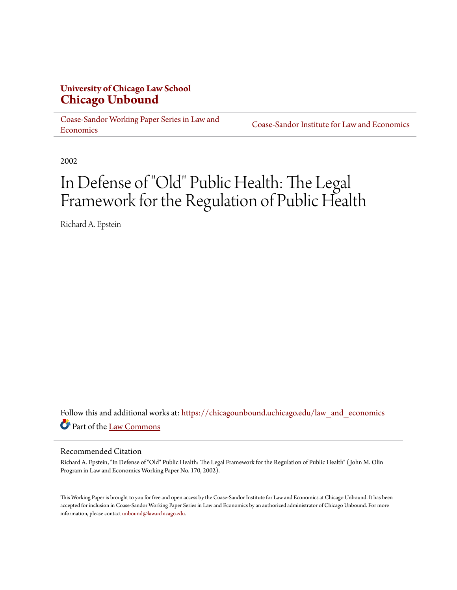#### **University of Chicago Law School [Chicago Unbound](https://chicagounbound.uchicago.edu?utm_source=chicagounbound.uchicago.edu%2Flaw_and_economics%2F259&utm_medium=PDF&utm_campaign=PDFCoverPages)**

[Coase-Sandor Working Paper Series in Law and](https://chicagounbound.uchicago.edu/law_and_economics?utm_source=chicagounbound.uchicago.edu%2Flaw_and_economics%2F259&utm_medium=PDF&utm_campaign=PDFCoverPages) [Economics](https://chicagounbound.uchicago.edu/law_and_economics?utm_source=chicagounbound.uchicago.edu%2Flaw_and_economics%2F259&utm_medium=PDF&utm_campaign=PDFCoverPages)

[Coase-Sandor Institute for Law and Economics](https://chicagounbound.uchicago.edu/coase_sandor_institute?utm_source=chicagounbound.uchicago.edu%2Flaw_and_economics%2F259&utm_medium=PDF&utm_campaign=PDFCoverPages)

2002

## In Defense of "Old" Public Health: The Legal Framework for the Regulation of Public Health

Richard A. Epstein

Follow this and additional works at: [https://chicagounbound.uchicago.edu/law\\_and\\_economics](https://chicagounbound.uchicago.edu/law_and_economics?utm_source=chicagounbound.uchicago.edu%2Flaw_and_economics%2F259&utm_medium=PDF&utm_campaign=PDFCoverPages) Part of the [Law Commons](http://network.bepress.com/hgg/discipline/578?utm_source=chicagounbound.uchicago.edu%2Flaw_and_economics%2F259&utm_medium=PDF&utm_campaign=PDFCoverPages)

#### Recommended Citation

Richard A. Epstein, "In Defense of "Old" Public Health: The Legal Framework for the Regulation of Public Health" ( John M. Olin Program in Law and Economics Working Paper No. 170, 2002).

This Working Paper is brought to you for free and open access by the Coase-Sandor Institute for Law and Economics at Chicago Unbound. It has been accepted for inclusion in Coase-Sandor Working Paper Series in Law and Economics by an authorized administrator of Chicago Unbound. For more information, please contact [unbound@law.uchicago.edu.](mailto:unbound@law.uchicago.edu)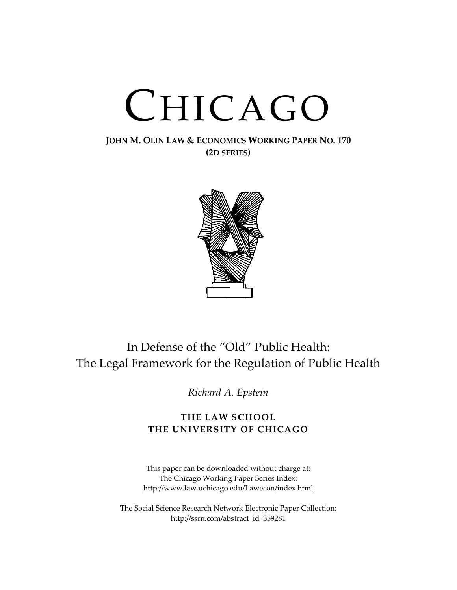# CHICAGO

#### **JOHN M. OLIN LAW & ECONOMICS WORKING PAPER NO. 170 (2D SERIES)**



## In Defense of the "Old" Public Health: The Legal Framework for the Regulation of Public Health

*Richard A. Epstein*

#### **THE LAW SCHOOL THE UNIVERSITY OF CHICAGO**

This paper can be downloaded without charge at: The Chicago Working Paper Series Index: [http://www.law.uchicago.edu/Lawecon/index.html](http://www.law.uchicago.edu/Publications/Working/index.html)

The Social Science Research Network Electronic Paper Collection: http://ssrn.com/abstract\_id=359281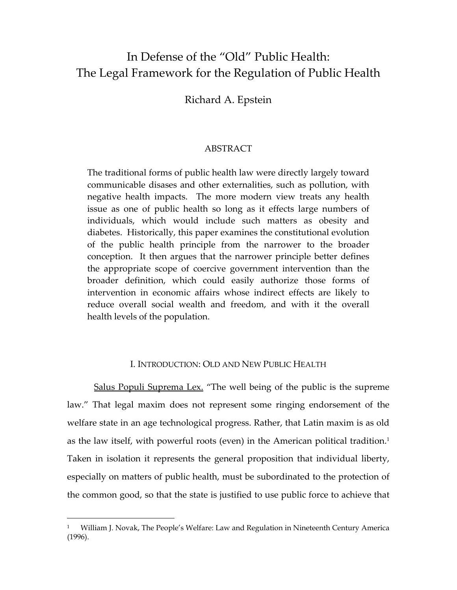### In Defense of the "Old" Public Health: The Legal Framework for the Regulation of Public Health

Richard A. Epstein

#### ABSTRACT

The traditional forms of public health law were directly largely toward communicable disases and other externalities, such as pollution, with negative health impacts. The more modern view treats any health issue as one of public health so long as it effects large numbers of individuals, which would include such matters as obesity and diabetes. Historically, this paper examines the constitutional evolution of the public health principle from the narrower to the broader conception. It then argues that the narrower principle better defines the appropriate scope of coercive government intervention than the broader definition, which could easily authorize those forms of intervention in economic affairs whose indirect effects are likely to reduce overall social wealth and freedom, and with it the overall health levels of the population.

#### I. INTRODUCTION: OLD AND NEW PUBLIC HEALTH

Salus Populi Suprema Lex. "The well being of the public is the supreme law." That legal maxim does not represent some ringing endorsement of the welfare state in an age technological progress. Rather, that Latin maxim is as old as the law itself, with powerful roots (even) in the American political tradition.<sup>1</sup> Taken in isolation it represents the general proposition that individual liberty, especially on matters of public health, must be subordinated to the protection of the common good, so that the state is justified to use public force to achieve that

<span id="page-2-0"></span><sup>1</sup> William J. Novak, The People's Welfare: Law and Regulation in Nineteenth Century America (1996).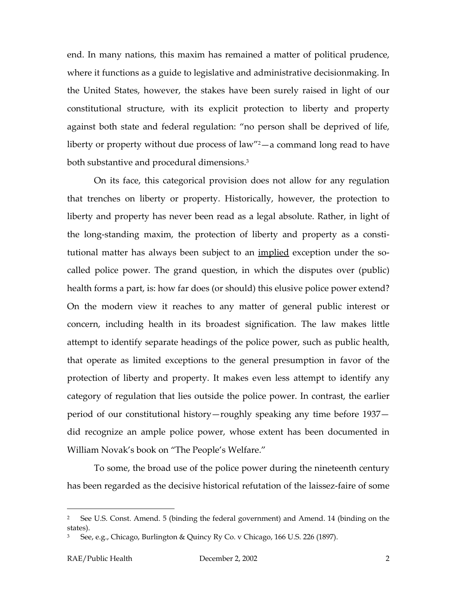end. In many nations, this maxim has remained a matter of political prudence, where it functions as a guide to legislative and administrative decisionmaking. In the United States, however, the stakes have been surely raised in light of our constitutional structure, with its explicit protection to liberty and property against both state and federal regulation: "no person shall be deprived of life, liberty or property without due process of law"[2—](#page-3-0)a command long read to have both substantive and procedural dimensions.<sup>3</sup>

On its face, this categorical provision does not allow for any regulation that trenches on liberty or property. Historically, however, the protection to liberty and property has never been read as a legal absolute. Rather, in light of the long-standing maxim, the protection of liberty and property as a constitutional matter has always been subject to an implied exception under the socalled police power. The grand question, in which the disputes over (public) health forms a part, is: how far does (or should) this elusive police power extend? On the modern view it reaches to any matter of general public interest or concern, including health in its broadest signification. The law makes little attempt to identify separate headings of the police power, such as public health, that operate as limited exceptions to the general presumption in favor of the protection of liberty and property. It makes even less attempt to identify any category of regulation that lies outside the police power. In contrast, the earlier period of our constitutional history—roughly speaking any time before 1937 did recognize an ample police power, whose extent has been documented in William Novak's book on "The People's Welfare."

To some, the broad use of the police power during the nineteenth century has been regarded as the decisive historical refutation of the laissez-faire of some

<span id="page-3-0"></span><sup>2</sup> See U.S. Const. Amend. 5 (binding the federal government) and Amend. 14 (binding on the states).

<span id="page-3-1"></span>See, e.g., Chicago, Burlington & Quincy Ry Co. v Chicago, 166 U.S. 226 (1897).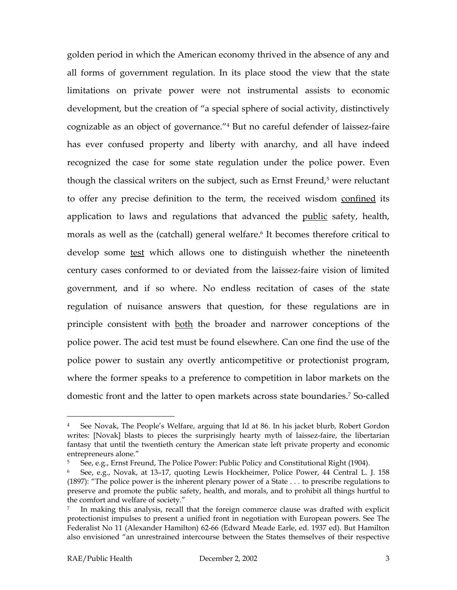<span id="page-4-3"></span>golden period in which the American economy thrived in the absence of any and all forms of government regulation. In its place stood the view that the state limitations on private power were not instrumental assists to economic development, but the creation of "a special sphere of social activity, distinctively cognizable as an object of governance."[4](#page-4-0) But no careful defender of laissez-faire has ever confused property and liberty with anarchy, and all have indeed recognized the case for some state regulation under the police power. Even though the classical writers on the subject, such as Ernst Freund,<sup>5</sup> were reluctant to offer any precise definition to the term, the received wisdom confined its application to laws and regulations that advanced the public safety, health, morals as well as the (catchall) general welfare.<sup>6</sup> It becomes therefore critical to develop some test which allows one to distinguish whether the nineteenth century cases conformed to or deviated from the laissez-faire vision of limited government, and if so where. No endless recitation of cases of the state regulation of nuisance answers that question, for these regulations are in principle consistent with both the broader and narrower conceptions of the police power. The acid test must be found elsewhere. Can one find the use of the police power to sustain any overtly anticompetitive or protectionist program, where the former speaks to a preference to competition in labor markets on the domestic front and the latter to open markets across state boundaries.[7](#page-4-3) So-called

<span id="page-4-0"></span><sup>4</sup> See Novak, The People's Welfare, arguing that Id at 86. In his jacket blurb, Robert Gordon writes: [Novak] blasts to pieces the surprisingly hearty myth of laissez-faire, the libertarian fantasy that until the twentieth century the American state left private property and economic entrepreneurs alone."

<span id="page-4-1"></span><sup>5</sup> See, e.g., Ernst Freund, The Police Power: Public Policy and Constitutional Right (1904).

<span id="page-4-2"></span><sup>6</sup> See, e.g., Novak, at 13–17, quoting Lewis Hockheimer, Police Power, 44 Central L. J. 158 (1897): "The police power is the inherent plenary power of a State . . . to prescribe regulations to preserve and promote the public safety, health, and morals, and to prohibit all things hurtful to the comfort and welfare of society."

<sup>7</sup> In making this analysis, recall that the foreign commerce clause was drafted with explicit protectionist impulses to present a unified front in negotiation with European powers. See The Federalist No 11 (Alexander Hamilton) 62-66 (Edward Meade Earle, ed. 1937 ed). But Hamilton also envisioned "an unrestrained intercourse between the States themselves of their respective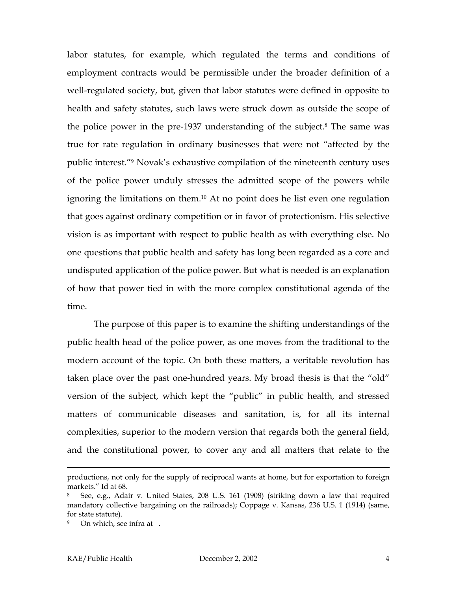<span id="page-5-2"></span>labor statutes, for example, which regulated the terms and conditions of employment contracts would be permissible under the broader definition of a well-regulated society, but, given that labor statutes were defined in opposite to health and safety statutes, such laws were struck down as outside the scope of the police power in the pre-1937 understanding of the subject.<sup>8</sup> The same was true for rate regulation in ordinary businesses that were not "affected by the public interest."[9](#page-5-1) Novak's exhaustive compilation of the nineteenth century uses of the police power unduly stresses the admitted scope of the powers while ignoring the limitations on them[.10](#page-5-2) At no point does he list even one regulation that goes against ordinary competition or in favor of protectionism. His selective vision is as important with respect to public health as with everything else. No one questions that public health and safety has long been regarded as a core and undisputed application of the police power. But what is needed is an explanation of how that power tied in with the more complex constitutional agenda of the time.

The purpose of this paper is to examine the shifting understandings of the public health head of the police power, as one moves from the traditional to the modern account of the topic. On both these matters, a veritable revolution has taken place over the past one-hundred years. My broad thesis is that the "old" version of the subject, which kept the "public" in public health, and stressed matters of communicable diseases and sanitation, is, for all its internal complexities, superior to the modern version that regards both the general field, and the constitutional power, to cover any and all matters that relate to the

productions, not only for the supply of reciprocal wants at home, but for exportation to foreign markets." Id at 68.

<span id="page-5-0"></span><sup>8</sup> See, e.g., Adair v. United States, 208 U.S. 161 (1908) (striking down a law that required mandatory collective bargaining on the railroads); Coppage v. Kansas, 236 U.S. 1 (1914) (same, for state statute).

<span id="page-5-1"></span><sup>&</sup>lt;sup>9</sup> On which, see infra at .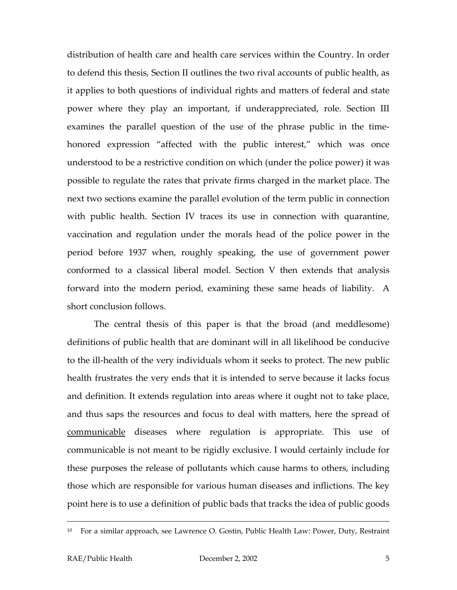distribution of health care and health care services within the Country. In order to defend this thesis, Section II outlines the two rival accounts of public health, as it applies to both questions of individual rights and matters of federal and state power where they play an important, if underappreciated, role. Section III examines the parallel question of the use of the phrase public in the timehonored expression "affected with the public interest," which was once understood to be a restrictive condition on which (under the police power) it was possible to regulate the rates that private firms charged in the market place. The next two sections examine the parallel evolution of the term public in connection with public health. Section IV traces its use in connection with quarantine, vaccination and regulation under the morals head of the police power in the period before 1937 when, roughly speaking, the use of government power conformed to a classical liberal model. Section V then extends that analysis forward into the modern period, examining these same heads of liability. A short conclusion follows.

The central thesis of this paper is that the broad (and meddlesome) definitions of public health that are dominant will in all likelihood be conducive to the ill-health of the very individuals whom it seeks to protect. The new public health frustrates the very ends that it is intended to serve because it lacks focus and definition. It extends regulation into areas where it ought not to take place, and thus saps the resources and focus to deal with matters, here the spread of communicable diseases where regulation is appropriate. This use of communicable is not meant to be rigidly exclusive. I would certainly include for these purposes the release of pollutants which cause harms to others, including those which are responsible for various human diseases and inflictions. The key point here is to use a definition of public bads that tracks the idea of public goods

 <sup>10</sup> For a similar approach, see Lawrence O. Gostin, Public Health Law: Power, Duty, Restraint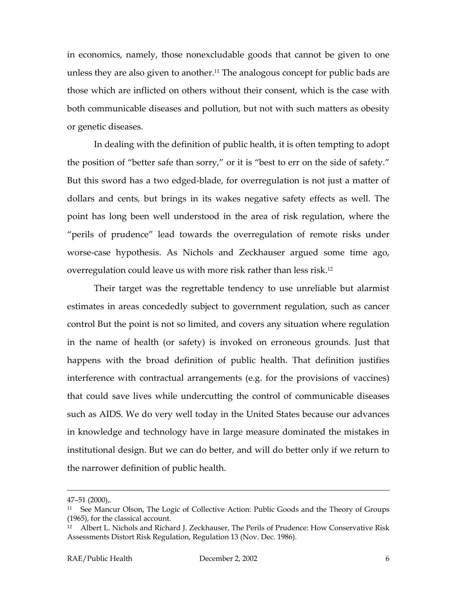in economics, namely, those nonexcludable goods that cannot be given to one unless they are also given to another.<sup>11</sup> The analogous concept for public bads are those which are inflicted on others without their consent, which is the case with both communicable diseases and pollution, but not with such matters as obesity or genetic diseases.

In dealing with the definition of public health, it is often tempting to adopt the position of "better safe than sorry," or it is "best to err on the side of safety." But this sword has a two edged-blade, for overregulation is not just a matter of dollars and cents, but brings in its wakes negative safety effects as well. The point has long been well understood in the area of risk regulation, where the "perils of prudence" lead towards the overregulation of remote risks under worse-case hypothesis. As Nichols and Zeckhauser argued some time ago, overregulation could leave us with more risk rather than less risk[.12](#page-7-1) 

Their target was the regrettable tendency to use unreliable but alarmist estimates in areas concededly subject to government regulation, such as cancer control But the point is not so limited, and covers any situation where regulation in the name of health (or safety) is invoked on erroneous grounds. Just that happens with the broad definition of public health. That definition justifies interference with contractual arrangements (e.g. for the provisions of vaccines) that could save lives while undercutting the control of communicable diseases such as AIDS. We do very well today in the United States because our advances in knowledge and technology have in large measure dominated the mistakes in institutional design. But we can do better, and will do better only if we return to the narrower definition of public health.

<sup>47–51 (2000),.</sup> 

<span id="page-7-0"></span><sup>11</sup> See Mancur Olson, The Logic of Collective Action: Public Goods and the Theory of Groups (1965), for the classical account.

<span id="page-7-1"></span><sup>&</sup>lt;sup>12</sup> Albert L. Nichols and Richard J. Zeckhauser, The Perils of Prudence: How Conservative Risk Assessments Distort Risk Regulation, Regulation 13 (Nov. Dec. 1986).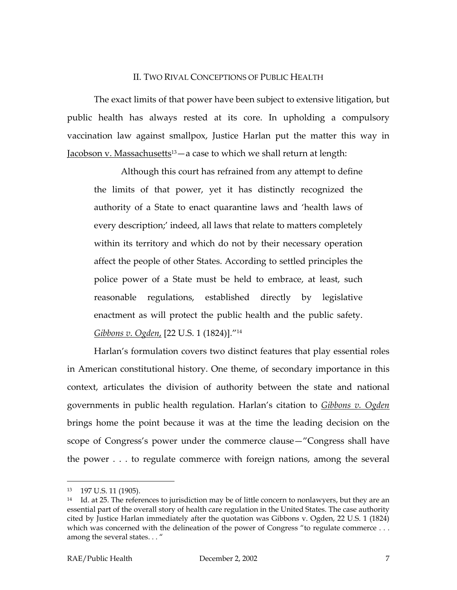#### II. TWO RIVAL CONCEPTIONS OF PUBLIC HEALTH

The exact limits of that power have been subject to extensive litigation, but public health has always rested at its core. In upholding a compulsory vaccination law against smallpox, Justice Harlan put the matter this way in Jacobson v. Massachusetts<sup>13</sup> — a case to which we shall return at length:

Although this court has refrained from any attempt to define the limits of that power, yet it has distinctly recognized the authority of a State to enact quarantine laws and 'health laws of every description;' indeed, all laws that relate to matters completely within its territory and which do not by their necessary operation affect the people of other States. According to settled principles the police power of a State must be held to embrace, at least, such reasonable regulations, established directly by legislative enactment as will protect the public health and the public safety. *Gibbons v. Ogden*, [22 U.S. 1 (1824)].["14](#page-8-1)

Harlan's formulation covers two distinct features that play essential roles in American constitutional history. One theme, of secondary importance in this context, articulates the division of authority between the state and national governments in public health regulation. Harlan's citation to *Gibbons v. Ogden*  brings home the point because it was at the time the leading decision on the scope of Congress's power under the commerce clause—"Congress shall have the power . . . to regulate commerce with foreign nations, among the several

<span id="page-8-0"></span><sup>13</sup> 197 U.S. 11 (1905).

<span id="page-8-1"></span><sup>&</sup>lt;sup>14</sup> Id. at 25. The references to jurisdiction may be of little concern to nonlawyers, but they are an essential part of the overall story of health care regulation in the United States. The case authority cited by Justice Harlan immediately after the quotation was Gibbons v. Ogden, 22 U.S. 1 (1824) which was concerned with the delineation of the power of Congress "to regulate commerce . . . among the several states. . . "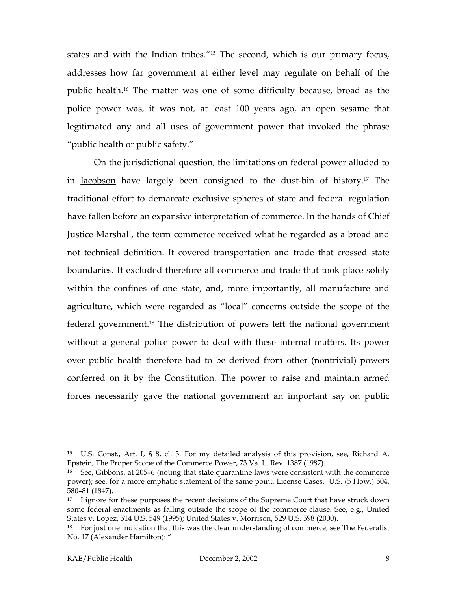states and with the Indian tribes.["15](#page-9-0) The second, which is our primary focus, addresses how far government at either level may regulate on behalf of the public health[.16](#page-9-1) The matter was one of some difficulty because, broad as the police power was, it was not, at least 100 years ago, an open sesame that legitimated any and all uses of government power that invoked the phrase "public health or public safety."

On the jurisdictional question, the limitations on federal power alluded to in Jacobson have largely been consigned to the dust-bin of history.[17](#page-9-2) The traditional effort to demarcate exclusive spheres of state and federal regulation have fallen before an expansive interpretation of commerce. In the hands of Chief Justice Marshall, the term commerce received what he regarded as a broad and not technical definition. It covered transportation and trade that crossed state boundaries. It excluded therefore all commerce and trade that took place solely within the confines of one state, and, more importantly, all manufacture and agriculture, which were regarded as "local" concerns outside the scope of the federal government.[18](#page-9-3) The distribution of powers left the national government without a general police power to deal with these internal matters. Its power over public health therefore had to be derived from other (nontrivial) powers conferred on it by the Constitution. The power to raise and maintain armed forces necessarily gave the national government an important say on public

<span id="page-9-0"></span><sup>15</sup> U.S. Const., Art. I, § 8, cl. 3. For my detailed analysis of this provision, see, Richard A. Epstein, The Proper Scope of the Commerce Power, 73 Va. L. Rev. 1387 (1987).

<span id="page-9-1"></span><sup>&</sup>lt;sup>16</sup> See, Gibbons, at 205–6 (noting that state quarantine laws were consistent with the commerce power); see, for a more emphatic statement of the same point, License Cases, U.S. (5 How.) 504, 580–81 (1847).

<span id="page-9-2"></span><sup>&</sup>lt;sup>17</sup> I ignore for these purposes the recent decisions of the Supreme Court that have struck down some federal enactments as falling outside the scope of the commerce clause. See, e.g., United States v. Lopez, 514 U.S. 549 (1995); United States v. Morrison, 529 U.S. 598 (2000).

<span id="page-9-3"></span> $18$  For just one indication that this was the clear understanding of commerce, see The Federalist No. 17 (Alexander Hamilton): "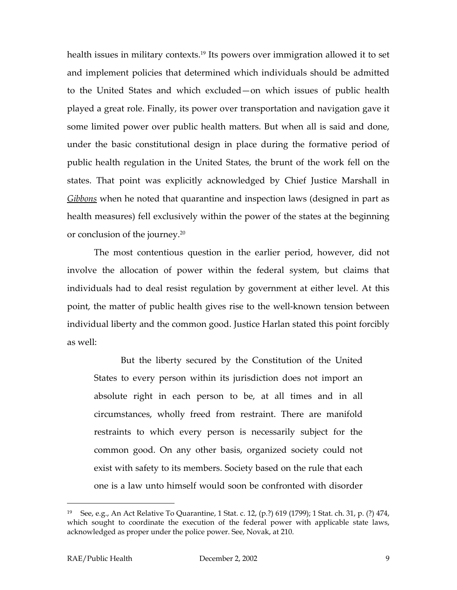health issues in military contexts.<sup>19</sup> Its powers over immigration allowed it to set and implement policies that determined which individuals should be admitted to the United States and which excluded—on which issues of public health played a great role. Finally, its power over transportation and navigation gave it some limited power over public health matters. But when all is said and done, under the basic constitutional design in place during the formative period of public health regulation in the United States, the brunt of the work fell on the states. That point was explicitly acknowledged by Chief Justice Marshall in *Gibbons* when he noted that quarantine and inspection laws (designed in part as health measures) fell exclusively within the power of the states at the beginning or conclusion of the journey.[20](#page-10-1)

The most contentious question in the earlier period, however, did not involve the allocation of power within the federal system, but claims that individuals had to deal resist regulation by government at either level. At this point, the matter of public health gives rise to the well-known tension between individual liberty and the common good. Justice Harlan stated this point forcibly as well:

But the liberty secured by the Constitution of the United States to every person within its jurisdiction does not import an absolute right in each person to be, at all times and in all circumstances, wholly freed from restraint. There are manifold restraints to which every person is necessarily subject for the common good. On any other basis, organized society could not exist with safety to its members. Society based on the rule that each one is a law unto himself would soon be confronted with disorder

<span id="page-10-1"></span><span id="page-10-0"></span><sup>&</sup>lt;sup>19</sup> See, e.g., An Act Relative To Quarantine, 1 Stat. c. 12, (p.?) 619 (1799); 1 Stat. ch. 31, p. (?) 474, which sought to coordinate the execution of the federal power with applicable state laws, acknowledged as proper under the police power. See, Novak, at 210.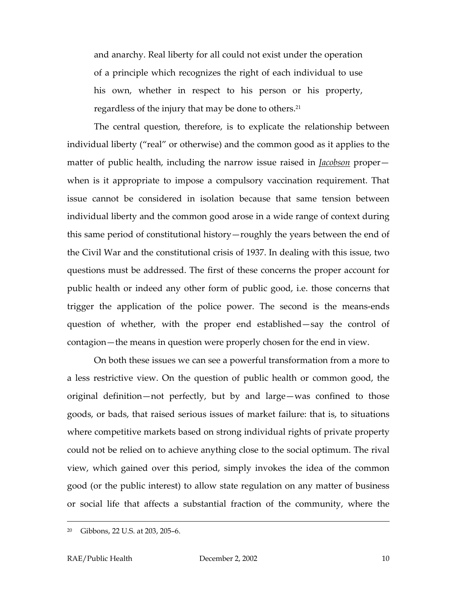and anarchy. Real liberty for all could not exist under the operation of a principle which recognizes the right of each individual to use his own, whether in respect to his person or his property, regardless of the injury that may be done to others.<sup>21</sup>

The central question, therefore, is to explicate the relationship between individual liberty ("real" or otherwise) and the common good as it applies to the matter of public health, including the narrow issue raised in *Jacobson* proper when is it appropriate to impose a compulsory vaccination requirement. That issue cannot be considered in isolation because that same tension between individual liberty and the common good arose in a wide range of context during this same period of constitutional history—roughly the years between the end of the Civil War and the constitutional crisis of 1937. In dealing with this issue, two questions must be addressed. The first of these concerns the proper account for public health or indeed any other form of public good, i.e. those concerns that trigger the application of the police power. The second is the means-ends question of whether, with the proper end established—say the control of contagion—the means in question were properly chosen for the end in view.

On both these issues we can see a powerful transformation from a more to a less restrictive view. On the question of public health or common good, the original definition—not perfectly, but by and large—was confined to those goods, or bads, that raised serious issues of market failure: that is, to situations where competitive markets based on strong individual rights of private property could not be relied on to achieve anything close to the social optimum. The rival view, which gained over this period, simply invokes the idea of the common good (or the public interest) to allow state regulation on any matter of business or social life that affects a substantial fraction of the community, where the

<span id="page-11-0"></span> <sup>20</sup> Gibbons, 22 U.S. at 203, 205–6.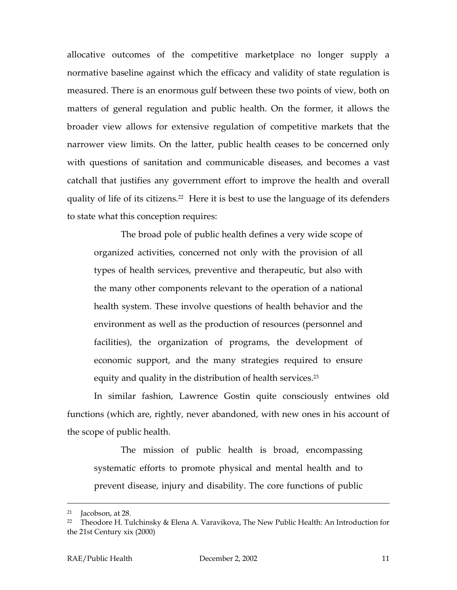allocative outcomes of the competitive marketplace no longer supply a normative baseline against which the efficacy and validity of state regulation is measured. There is an enormous gulf between these two points of view, both on matters of general regulation and public health. On the former, it allows the broader view allows for extensive regulation of competitive markets that the narrower view limits. On the latter, public health ceases to be concerned only with questions of sanitation and communicable diseases, and becomes a vast catchall that justifies any government effort to improve the health and overall quality of life of its citizens.<sup>22</sup> Here it is best to use the language of its defenders to state what this conception requires:

The broad pole of public health defines a very wide scope of organized activities, concerned not only with the provision of all types of health services, preventive and therapeutic, but also with the many other components relevant to the operation of a national health system. These involve questions of health behavior and the environment as well as the production of resources (personnel and facilities), the organization of programs, the development of economic support, and the many strategies required to ensure equity and quality in the distribution of health services.<sup>23</sup>

In similar fashion, Lawrence Gostin quite consciously entwines old functions (which are, rightly, never abandoned, with new ones in his account of the scope of public health.

The mission of public health is broad, encompassing systematic efforts to promote physical and mental health and to prevent disease, injury and disability. The core functions of public

 <sup>21</sup> Jacobson, at 28.

<span id="page-12-0"></span><sup>&</sup>lt;sup>22</sup> Theodore H. Tulchinsky & Elena A. Varavikova, The New Public Health: An Introduction for the 21st Century xix (2000)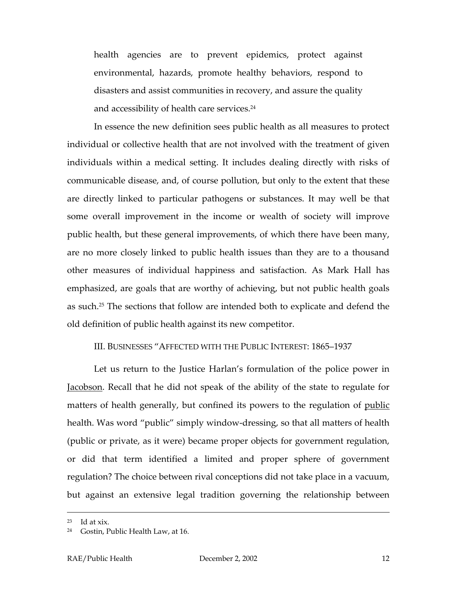health agencies are to prevent epidemics, protect against environmental, hazards, promote healthy behaviors, respond to disasters and assist communities in recovery, and assure the quality and accessibility of health care services.<sup>24</sup>

In essence the new definition sees public health as all measures to protect individual or collective health that are not involved with the treatment of given individuals within a medical setting. It includes dealing directly with risks of communicable disease, and, of course pollution, but only to the extent that these are directly linked to particular pathogens or substances. It may well be that some overall improvement in the income or wealth of society will improve public health, but these general improvements, of which there have been many, are no more closely linked to public health issues than they are to a thousand other measures of individual happiness and satisfaction. As Mark Hall has emphasized, are goals that are worthy of achieving, but not public health goals as such.[25](#page-13-1) The sections that follow are intended both to explicate and defend the old definition of public health against its new competitor.

#### III. BUSINESSES "AFFECTED WITH THE PUBLIC INTEREST: 1865–1937

Let us return to the Justice Harlan's formulation of the police power in Jacobson. Recall that he did not speak of the ability of the state to regulate for matters of health generally, but confined its powers to the regulation of public health. Was word "public" simply window-dressing, so that all matters of health (public or private, as it were) became proper objects for government regulation, or did that term identified a limited and proper sphere of government regulation? The choice between rival conceptions did not take place in a vacuum, but against an extensive legal tradition governing the relationship between

<span id="page-13-1"></span> $23$  Id at xix.

<span id="page-13-0"></span>Gostin, Public Health Law, at 16.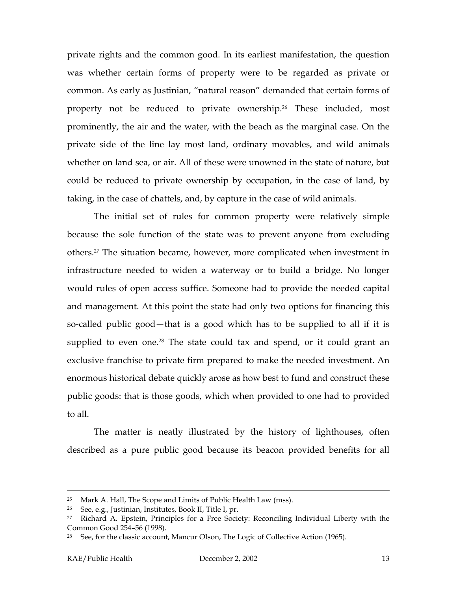private rights and the common good. In its earliest manifestation, the question was whether certain forms of property were to be regarded as private or common. As early as Justinian, "natural reason" demanded that certain forms of property not be reduced to private ownership.[26](#page-14-0) These included, most prominently, the air and the water, with the beach as the marginal case. On the private side of the line lay most land, ordinary movables, and wild animals whether on land sea, or air. All of these were unowned in the state of nature, but could be reduced to private ownership by occupation, in the case of land, by taking, in the case of chattels, and, by capture in the case of wild animals.

The initial set of rules for common property were relatively simple because the sole function of the state was to prevent anyone from excluding others[.27](#page-14-1) The situation became, however, more complicated when investment in infrastructure needed to widen a waterway or to build a bridge. No longer would rules of open access suffice. Someone had to provide the needed capital and management. At this point the state had only two options for financing this so-called public good—that is a good which has to be supplied to all if it is supplied to even one.<sup>28</sup> The state could tax and spend, or it could grant an exclusive franchise to private firm prepared to make the needed investment. An enormous historical debate quickly arose as how best to fund and construct these public goods: that is those goods, which when provided to one had to provided to all.

The matter is neatly illustrated by the history of lighthouses, often described as a pure public good because its beacon provided benefits for all

 <sup>25</sup> Mark A. Hall, The Scope and Limits of Public Health Law (mss).

<span id="page-14-0"></span> $26$  See, e.g., Justinian, Institutes, Book II, Title I, pr.

<span id="page-14-1"></span> $27$  Richard A. Epstein, Principles for a Free Society: Reconciling Individual Liberty with the Common Good 254–56 (1998).

<span id="page-14-2"></span> $28$  See, for the classic account, Mancur Olson, The Logic of Collective Action (1965).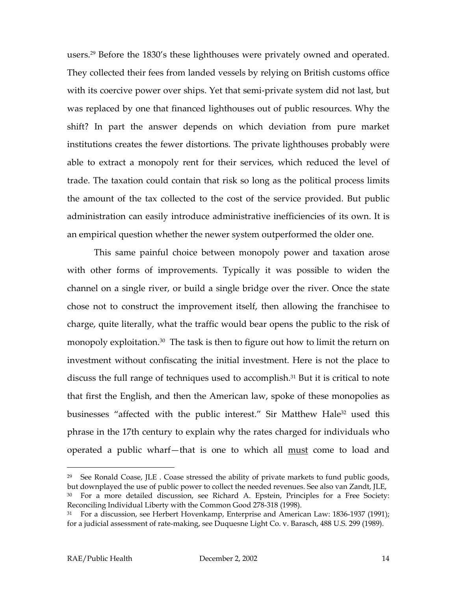users.[29](#page-15-0) Before the 1830's these lighthouses were privately owned and operated. They collected their fees from landed vessels by relying on British customs office with its coercive power over ships. Yet that semi-private system did not last, but was replaced by one that financed lighthouses out of public resources. Why the shift? In part the answer depends on which deviation from pure market institutions creates the fewer distortions. The private lighthouses probably were able to extract a monopoly rent for their services, which reduced the level of trade. The taxation could contain that risk so long as the political process limits the amount of the tax collected to the cost of the service provided. But public administration can easily introduce administrative inefficiencies of its own. It is an empirical question whether the newer system outperformed the older one.

This same painful choice between monopoly power and taxation arose with other forms of improvements. Typically it was possible to widen the channel on a single river, or build a single bridge over the river. Once the state chose not to construct the improvement itself, then allowing the franchisee to charge, quite literally, what the traffic would bear opens the public to the risk of monopoly exploitation.<sup>30</sup> The task is then to figure out how to limit the return on investment without confiscating the initial investment. Here is not the place to discuss the full range of techniques used to accomplish.<sup>31</sup> But it is critical to note that first the English, and then the American law, spoke of these monopolies as businesses "affected with the public interest." Sir Matthew Hale<sup>32</sup> used this phrase in the 17th century to explain why the rates charged for individuals who operated a public wharf—that is one to which all must come to load and

<span id="page-15-3"></span><span id="page-15-0"></span><sup>&</sup>lt;sup>29</sup> See Ronald Coase, JLE . Coase stressed the ability of private markets to fund public goods, but downplayed the use of public power to collect the needed revenues. See also van Zandt, JLE,

<span id="page-15-1"></span><sup>&</sup>lt;sup>30</sup> For a more detailed discussion, see Richard A. Epstein, Principles for a Free Society: Reconciling Individual Liberty with the Common Good 278-318 (1998).

<span id="page-15-2"></span> $31$  For a discussion, see Herbert Hovenkamp, Enterprise and American Law: 1836-1937 (1991); for a judicial assessment of rate-making, see Duquesne Light Co. v. Barasch, 488 U.S. 299 (1989).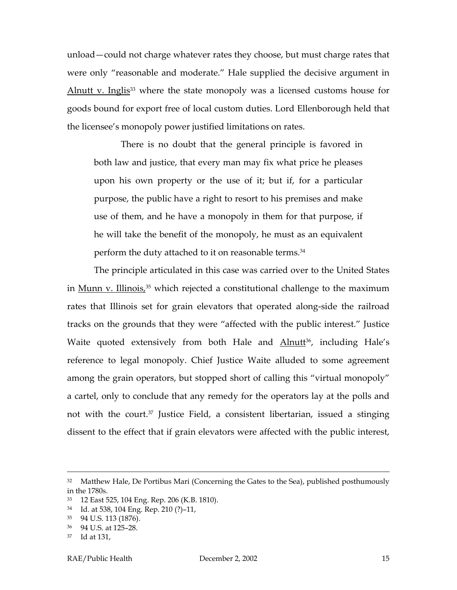unload—could not charge whatever rates they choose, but must charge rates that were only "reasonable and moderate." Hale supplied the decisive argument in Alnutt v. Inglis<sup>33</sup> where the state monopoly was a licensed customs house for goods bound for export free of local custom duties. Lord Ellenborough held that the licensee's monopoly power justified limitations on rates.

There is no doubt that the general principle is favored in both law and justice, that every man may fix what price he pleases upon his own property or the use of it; but if, for a particular purpose, the public have a right to resort to his premises and make use of them, and he have a monopoly in them for that purpose, if he will take the benefit of the monopoly, he must as an equivalent perform the duty attached to it on reasonable terms[.34](#page-16-1)

The principle articulated in this case was carried over to the United States in <u>Munn v. Illinois,35</u> which rejected a constitutional challenge to the maximum rates that Illinois set for grain elevators that operated along-side the railroad tracks on the grounds that they were "affected with the public interest." Justice Waite quoted extensively from both Hale and **Alnutt<sup>36</sup>, including Hale's** reference to legal monopoly. Chief Justice Waite alluded to some agreement among the grain operators, but stopped short of calling this "virtual monopoly" a cartel, only to conclude that any remedy for the operators lay at the polls and not with the court.[37](#page-16-4) Justice Field, a consistent libertarian, issued a stinging dissent to the effect that if grain elevators were affected with the public interest,

<sup>&</sup>lt;sup>32</sup> Matthew Hale, De Portibus Mari (Concerning the Gates to the Sea), published posthumously in the 1780s.

<span id="page-16-0"></span><sup>33</sup> 12 East 525, 104 Eng. Rep. 206 (K.B. 1810).

<span id="page-16-1"></span><sup>34</sup> Id. at 538, 104 Eng. Rep. 210 (?)–11,

<span id="page-16-2"></span><sup>35</sup> 94 U.S. 113 (1876).

<span id="page-16-3"></span><sup>36</sup> 94 U.S. at 125–28.

<span id="page-16-4"></span><sup>37</sup> Id at 131,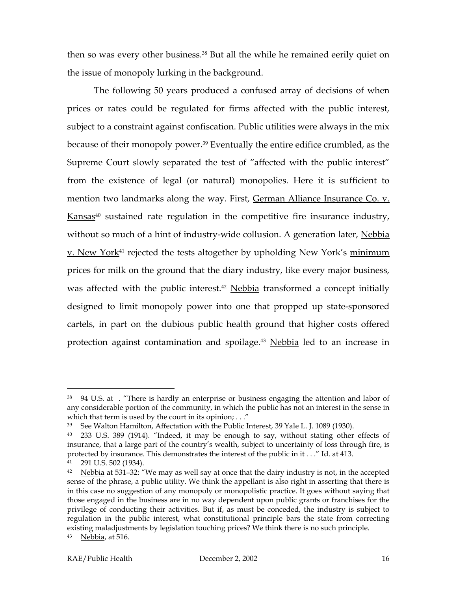then so was every other business.<sup>38</sup> But all the while he remained eerily quiet on the issue of monopoly lurking in the background.

The following 50 years produced a confused array of decisions of when prices or rates could be regulated for firms affected with the public interest, subject to a constraint against confiscation. Public utilities were always in the mix because of their monopoly power.<sup>39</sup> Eventually the entire edifice crumbled, as the Supreme Court slowly separated the test of "affected with the public interest" from the existence of legal (or natural) monopolies. Here it is sufficient to mention two landmarks along the way. First, German Alliance Insurance Co. v.  $Kansas<sup>40</sup>$  sustained rate regulation in the competitive fire insurance industry, without so much of a hint of industry-wide collusion. A generation later, Nebbia v. New York<sup>[41](#page-17-3)</sup> rejected the tests altogether by upholding New York's minimum prices for milk on the ground that the diary industry, like every major business, was affected with the public interest.<sup>[42](#page-17-4)</sup> Nebbia transformed a concept initially designed to limit monopoly power into one that propped up state-sponsored cartels, in part on the dubious public health ground that higher costs offered protection against contamination and spoilage.<sup>[43](#page-17-5)</sup> Nebbia led to an increase in

l

<span id="page-17-0"></span><sup>&</sup>lt;sup>38</sup> 94 U.S. at . "There is hardly an enterprise or business engaging the attention and labor of any considerable portion of the community, in which the public has not an interest in the sense in which that term is used by the court in its opinion;  $\dots$ "

<span id="page-17-1"></span><sup>39</sup> See Walton Hamilton, Affectation with the Public Interest, 39 Yale L. J. 1089 (1930).

<span id="page-17-2"></span><sup>40</sup> 233 U.S. 389 (1914). "Indeed, it may be enough to say, without stating other effects of insurance, that a large part of the country's wealth, subject to uncertainty of loss through fire, is protected by insurance. This demonstrates the interest of the public in it . . ." Id. at 413.

<span id="page-17-3"></span><sup>291</sup> U.S. 502 (1934).

<span id="page-17-5"></span><span id="page-17-4"></span><sup>&</sup>lt;sup>42</sup> Nebbia at 531–32: "We may as well say at once that the dairy industry is not, in the accepted sense of the phrase, a public utility. We think the appellant is also right in asserting that there is in this case no suggestion of any monopoly or monopolistic practice. It goes without saying that those engaged in the business are in no way dependent upon public grants or franchises for the privilege of conducting their activities. But if, as must be conceded, the industry is subject to regulation in the public interest, what constitutional principle bars the state from correcting existing maladjustments by legislation touching prices? We think there is no such principle.  $43$  Nebbia, at 516.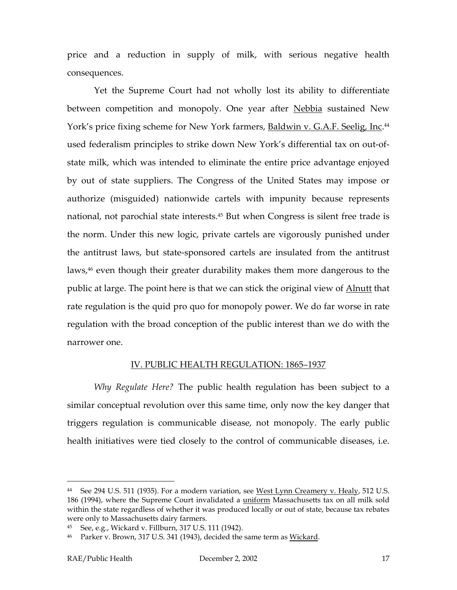price and a reduction in supply of milk, with serious negative health consequences.

Yet the Supreme Court had not wholly lost its ability to differentiate between competition and monopoly. One year after Nebbia sustained New York's price fixing scheme for New York farmers, <u>Baldwin v. G.A.F. Seelig, Inc</u>.<sup>[44](#page-18-0)</sup> used federalism principles to strike down New York's differential tax on out-ofstate milk, which was intended to eliminate the entire price advantage enjoyed by out of state suppliers. The Congress of the United States may impose or authorize (misguided) nationwide cartels with impunity because represents national, not parochial state interests.[45](#page-18-1) But when Congress is silent free trade is the norm. Under this new logic, private cartels are vigorously punished under the antitrust laws, but state-sponsored cartels are insulated from the antitrust laws,<sup>46</sup> even though their greater durability makes them more dangerous to the public at large. The point here is that we can stick the original view of **Alnutt** that rate regulation is the quid pro quo for monopoly power. We do far worse in rate regulation with the broad conception of the public interest than we do with the narrower one.

#### IV. PUBLIC HEALTH REGULATION: 1865–1937

*Why Regulate Here?* The public health regulation has been subject to a similar conceptual revolution over this same time, only now the key danger that triggers regulation is communicable disease, not monopoly. The early public health initiatives were tied closely to the control of communicable diseases, i.e.

<span id="page-18-0"></span><sup>&</sup>lt;sup>44</sup> See 294 U.S. 511 (1935). For a modern variation, see West Lynn Creamery v. Healy, 512 U.S. 186 (1994), where the Supreme Court invalidated a *uniform Massachusetts tax on all milk sold* within the state regardless of whether it was produced locally or out of state, because tax rebates were only to Massachusetts dairy farmers.

<span id="page-18-1"></span><sup>45</sup> See, e.g., Wickard v. Fillburn, 317 U.S. 111 (1942).

<span id="page-18-2"></span><sup>&</sup>lt;sup>46</sup> Parker v. Brown, 317 U.S. 341 (1943), decided the same term as Wickard.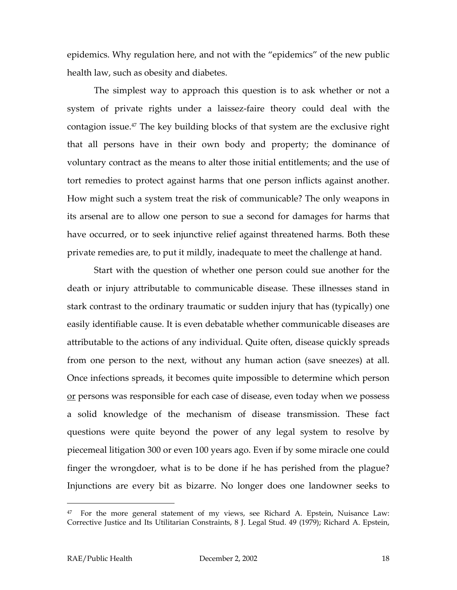<span id="page-19-0"></span>epidemics. Why regulation here, and not with the "epidemics" of the new public health law, such as obesity and diabetes.

The simplest way to approach this question is to ask whether or not a system of private rights under a laissez-faire theory could deal with the contagion issue[.47](#page-19-0) The key building blocks of that system are the exclusive right that all persons have in their own body and property; the dominance of voluntary contract as the means to alter those initial entitlements; and the use of tort remedies to protect against harms that one person inflicts against another. How might such a system treat the risk of communicable? The only weapons in its arsenal are to allow one person to sue a second for damages for harms that have occurred, or to seek injunctive relief against threatened harms. Both these private remedies are, to put it mildly, inadequate to meet the challenge at hand.

Start with the question of whether one person could sue another for the death or injury attributable to communicable disease. These illnesses stand in stark contrast to the ordinary traumatic or sudden injury that has (typically) one easily identifiable cause. It is even debatable whether communicable diseases are attributable to the actions of any individual. Quite often, disease quickly spreads from one person to the next, without any human action (save sneezes) at all. Once infections spreads, it becomes quite impossible to determine which person or persons was responsible for each case of disease, even today when we possess a solid knowledge of the mechanism of disease transmission. These fact questions were quite beyond the power of any legal system to resolve by piecemeal litigation 300 or even 100 years ago. Even if by some miracle one could finger the wrongdoer, what is to be done if he has perished from the plague? Injunctions are every bit as bizarre. No longer does one landowner seeks to

<sup>47</sup> For the more general statement of my views, see Richard A. Epstein, Nuisance Law: Corrective Justice and Its Utilitarian Constraints, 8 J. Legal Stud. 49 (1979); Richard A. Epstein,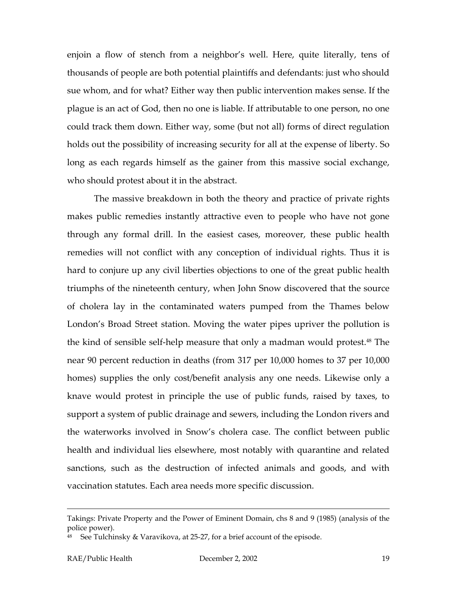enjoin a flow of stench from a neighbor's well. Here, quite literally, tens of thousands of people are both potential plaintiffs and defendants: just who should sue whom, and for what? Either way then public intervention makes sense. If the plague is an act of God, then no one is liable. If attributable to one person, no one could track them down. Either way, some (but not all) forms of direct regulation holds out the possibility of increasing security for all at the expense of liberty. So long as each regards himself as the gainer from this massive social exchange, who should protest about it in the abstract.

The massive breakdown in both the theory and practice of private rights makes public remedies instantly attractive even to people who have not gone through any formal drill. In the easiest cases, moreover, these public health remedies will not conflict with any conception of individual rights. Thus it is hard to conjure up any civil liberties objections to one of the great public health triumphs of the nineteenth century, when John Snow discovered that the source of cholera lay in the contaminated waters pumped from the Thames below London's Broad Street station. Moving the water pipes upriver the pollution is the kind of sensible self-help measure that only a madman would protest.[48](#page-20-0) The near 90 percent reduction in deaths (from 317 per 10,000 homes to 37 per 10,000 homes) supplies the only cost/benefit analysis any one needs. Likewise only a knave would protest in principle the use of public funds, raised by taxes, to support a system of public drainage and sewers, including the London rivers and the waterworks involved in Snow's cholera case. The conflict between public health and individual lies elsewhere, most notably with quarantine and related sanctions, such as the destruction of infected animals and goods, and with vaccination statutes. Each area needs more specific discussion.

Takings: Private Property and the Power of Eminent Domain, chs 8 and 9 (1985) (analysis of the police power).

<span id="page-20-0"></span> $48$  See Tulchinsky & Varavikova, at 25-27, for a brief account of the episode.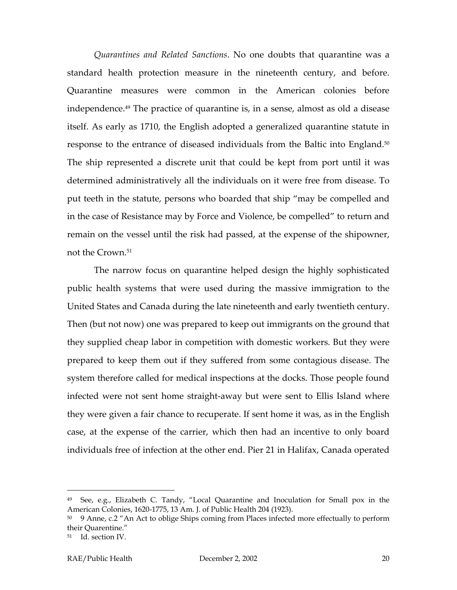*Quarantines and Related Sanctions*. No one doubts that quarantine was a standard health protection measure in the nineteenth century, and before. Quarantine measures were common in the American colonies before independence[.49](#page-21-0) The practice of quarantine is, in a sense, almost as old a disease itself. As early as 1710, the English adopted a generalized quarantine statute in response to the entrance of diseased individuals from the Baltic into England.[50](#page-21-1) The ship represented a discrete unit that could be kept from port until it was determined administratively all the individuals on it were free from disease. To put teeth in the statute, persons who boarded that ship "may be compelled and in the case of Resistance may by Force and Violence, be compelled" to return and remain on the vessel until the risk had passed, at the expense of the shipowner, not the Crown.[51](#page-21-2) 

The narrow focus on quarantine helped design the highly sophisticated public health systems that were used during the massive immigration to the United States and Canada during the late nineteenth and early twentieth century. Then (but not now) one was prepared to keep out immigrants on the ground that they supplied cheap labor in competition with domestic workers. But they were prepared to keep them out if they suffered from some contagious disease. The system therefore called for medical inspections at the docks. Those people found infected were not sent home straight-away but were sent to Ellis Island where they were given a fair chance to recuperate. If sent home it was, as in the English case, at the expense of the carrier, which then had an incentive to only board individuals free of infection at the other end. Pier 21 in Halifax, Canada operated

<span id="page-21-0"></span><sup>49</sup> See, e.g., Elizabeth C. Tandy, "Local Quarantine and Inoculation for Small pox in the American Colonies, 1620-1775, 13 Am. J. of Public Health 204 (1923).

<span id="page-21-1"></span> $50$  9 Anne, c.2 "An Act to oblige Ships coming from Places infected more effectually to perform their Quarentine."

<span id="page-21-2"></span><sup>51</sup> Id. section IV.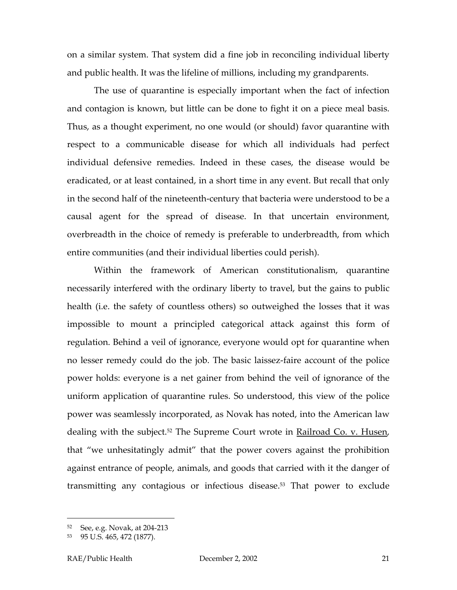on a similar system. That system did a fine job in reconciling individual liberty and public health. It was the lifeline of millions, including my grandparents.

The use of quarantine is especially important when the fact of infection and contagion is known, but little can be done to fight it on a piece meal basis. Thus, as a thought experiment, no one would (or should) favor quarantine with respect to a communicable disease for which all individuals had perfect individual defensive remedies. Indeed in these cases, the disease would be eradicated, or at least contained, in a short time in any event. But recall that only in the second half of the nineteenth-century that bacteria were understood to be a causal agent for the spread of disease. In that uncertain environment, overbreadth in the choice of remedy is preferable to underbreadth, from which entire communities (and their individual liberties could perish).

Within the framework of American constitutionalism, quarantine necessarily interfered with the ordinary liberty to travel, but the gains to public health (i.e. the safety of countless others) so outweighed the losses that it was impossible to mount a principled categorical attack against this form of regulation. Behind a veil of ignorance, everyone would opt for quarantine when no lesser remedy could do the job. The basic laissez-faire account of the police power holds: everyone is a net gainer from behind the veil of ignorance of the uniform application of quarantine rules. So understood, this view of the police power was seamlessly incorporated, as Novak has noted, into the American law dealing with the subject.<sup>[52](#page-22-0)</sup> The Supreme Court wrote in **Railroad Co. v. Husen**, that "we unhesitatingly admit" that the power covers against the prohibition against entrance of people, animals, and goods that carried with it the danger of transmitting any contagious or infectious disease[.53](#page-22-1) That power to exclude

<span id="page-22-0"></span><sup>52</sup> See, e.g. Novak, at 204-213

<span id="page-22-1"></span><sup>53</sup> 95 U.S. 465, 472 (1877).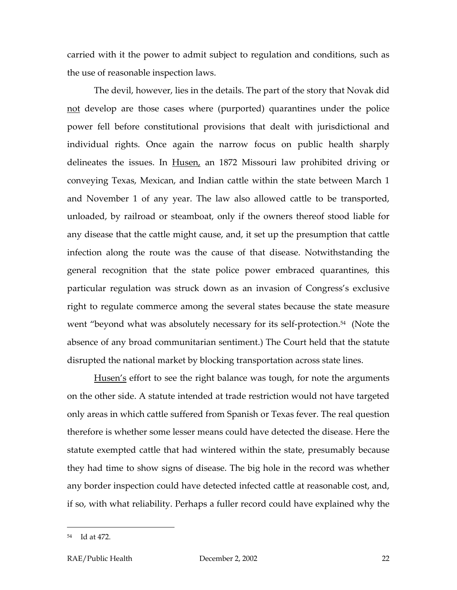carried with it the power to admit subject to regulation and conditions, such as the use of reasonable inspection laws.

The devil, however, lies in the details. The part of the story that Novak did not develop are those cases where (purported) quarantines under the police power fell before constitutional provisions that dealt with jurisdictional and individual rights. Once again the narrow focus on public health sharply delineates the issues. In Husen, an 1872 Missouri law prohibited driving or conveying Texas, Mexican, and Indian cattle within the state between March 1 and November 1 of any year. The law also allowed cattle to be transported, unloaded, by railroad or steamboat, only if the owners thereof stood liable for any disease that the cattle might cause, and, it set up the presumption that cattle infection along the route was the cause of that disease. Notwithstanding the general recognition that the state police power embraced quarantines, this particular regulation was struck down as an invasion of Congress's exclusive right to regulate commerce among the several states because the state measure went "beyond what was absolutely necessary for its self-protection.<sup>54</sup> (Note the absence of any broad communitarian sentiment.) The Court held that the statute disrupted the national market by blocking transportation across state lines.

Husen's effort to see the right balance was tough, for note the arguments on the other side. A statute intended at trade restriction would not have targeted only areas in which cattle suffered from Spanish or Texas fever. The real question therefore is whether some lesser means could have detected the disease. Here the statute exempted cattle that had wintered within the state, presumably because they had time to show signs of disease. The big hole in the record was whether any border inspection could have detected infected cattle at reasonable cost, and, if so, with what reliability. Perhaps a fuller record could have explained why the

l

<span id="page-23-0"></span><sup>54</sup> Id at 472.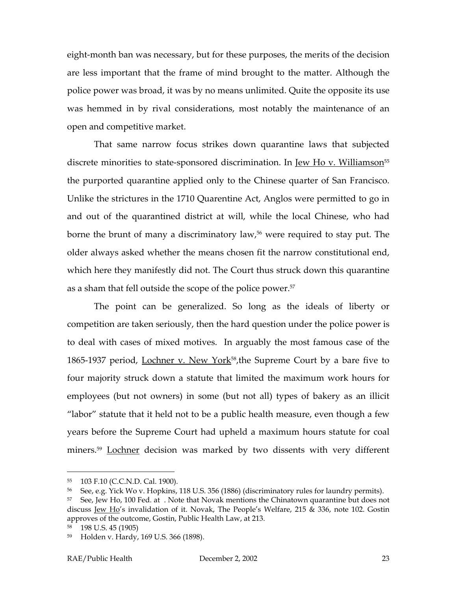eight-month ban was necessary, but for these purposes, the merits of the decision are less important that the frame of mind brought to the matter. Although the police power was broad, it was by no means unlimited. Quite the opposite its use was hemmed in by rival considerations, most notably the maintenance of an open and competitive market.

That same narrow focus strikes down quarantine laws that subjected discrete minorities to state-sponsored discrimination. In <u>Jew Ho v. Williamson<sup>[55](#page-24-0)</sup></u> the purported quarantine applied only to the Chinese quarter of San Francisco. Unlike the strictures in the 1710 Quarentine Act, Anglos were permitted to go in and out of the quarantined district at will, while the local Chinese, who had borne the brunt of many a discriminatory law,<sup>56</sup> were required to stay put. The older always asked whether the means chosen fit the narrow constitutional end, which here they manifestly did not. The Court thus struck down this quarantine as a sham that fell outside the scope of the police power.<sup>[57](#page-24-2)</sup>

The point can be generalized. So long as the ideals of liberty or competition are taken seriously, then the hard question under the police power is to deal with cases of mixed motives. In arguably the most famous case of the 1865-1937 period, Lochner v. New York<sup>58</sup>, the Supreme Court by a bare five to four majority struck down a statute that limited the maximum work hours for employees (but not owners) in some (but not all) types of bakery as an illicit "labor" statute that it held not to be a public health measure, even though a few years before the Supreme Court had upheld a maximum hours statute for coal miners.<sup>[59](#page-24-4)</sup> Lochner decision was marked by two dissents with very different

<span id="page-24-0"></span><sup>55</sup> 103 F.10 (C.C.N.D. Cal. 1900).

<span id="page-24-1"></span><sup>56</sup> See, e.g. Yick Wo v. Hopkins, 118 U.S. 356 (1886) (discriminatory rules for laundry permits).

<span id="page-24-2"></span><sup>&</sup>lt;sup>57</sup> See, Jew Ho, 100 Fed. at . Note that Novak mentions the Chinatown quarantine but does not discuss Jew Ho's invalidation of it. Novak, The People's Welfare, 215 & 336, note 102. Gostin approves of the outcome, Gostin, Public Health Law, at 213.

<span id="page-24-3"></span><sup>58</sup> 198 U.S. 45 (1905)

<span id="page-24-4"></span><sup>59</sup> Holden v. Hardy, 169 U.S. 366 (1898).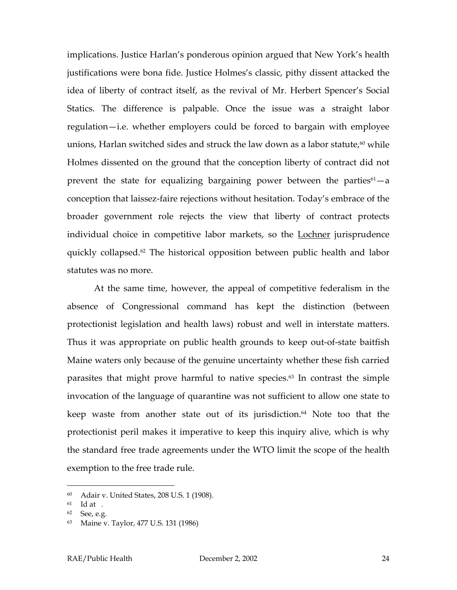implications. Justice Harlan's ponderous opinion argued that New York's health justifications were bona fide. Justice Holmes's classic, pithy dissent attacked the idea of liberty of contract itself, as the revival of Mr. Herbert Spencer's Social Statics. The difference is palpable. Once the issue was a straight labor regulation—i.e. whether employers could be forced to bargain with employee unions, Harlan switched sides and struck the law down as a labor statute, $60$  while Holmes dissented on the ground that the conception liberty of contract did not prevent the state for equalizing bargaining power between the parties<sup> $61$ </sup>—a conception that laissez-faire rejections without hesitation. Today's embrace of the broader government role rejects the view that liberty of contract protects individual choice in competitive labor markets, so the **Lochner** jurisprudence quickly collapsed[.62](#page-25-2) The historical opposition between public health and labor statutes was no more.

At the same time, however, the appeal of competitive federalism in the absence of Congressional command has kept the distinction (between protectionist legislation and health laws) robust and well in interstate matters. Thus it was appropriate on public health grounds to keep out-of-state baitfish Maine waters only because of the genuine uncertainty whether these fish carried parasites that might prove harmful to native species.<sup>63</sup> In contrast the simple invocation of the language of quarantine was not sufficient to allow one state to keep waste from another state out of its jurisdiction.<sup>64</sup> Note too that the protectionist peril makes it imperative to keep this inquiry alive, which is why the standard free trade agreements under the WTO limit the scope of the health exemption to the free trade rule.

<span id="page-25-4"></span><span id="page-25-0"></span><sup>60</sup> Adair v. United States, 208 U.S. 1 (1908).

<span id="page-25-1"></span> $61$  Id at .

<span id="page-25-2"></span><sup>62</sup> See, e.g.

<span id="page-25-3"></span><sup>63</sup> Maine v. Taylor, 477 U.S. 131 (1986)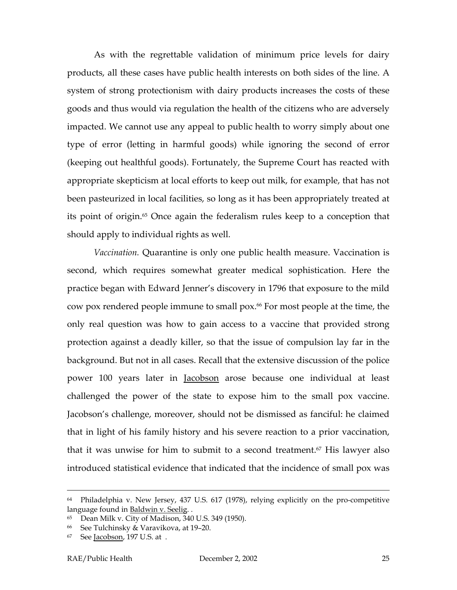As with the regrettable validation of minimum price levels for dairy products, all these cases have public health interests on both sides of the line. A system of strong protectionism with dairy products increases the costs of these goods and thus would via regulation the health of the citizens who are adversely impacted. We cannot use any appeal to public health to worry simply about one type of error (letting in harmful goods) while ignoring the second of error (keeping out healthful goods). Fortunately, the Supreme Court has reacted with appropriate skepticism at local efforts to keep out milk, for example, that has not been pasteurized in local facilities, so long as it has been appropriately treated at its point of origin.<sup>65</sup> Once again the federalism rules keep to a conception that should apply to individual rights as well.

*Vaccination.* Quarantine is only one public health measure. Vaccination is second, which requires somewhat greater medical sophistication. Here the practice began with Edward Jenner's discovery in 1796 that exposure to the mild cow pox rendered people immune to small pox.[66](#page-26-1) For most people at the time, the only real question was how to gain access to a vaccine that provided strong protection against a deadly killer, so that the issue of compulsion lay far in the background. But not in all cases. Recall that the extensive discussion of the police power 100 years later in Jacobson arose because one individual at least challenged the power of the state to expose him to the small pox vaccine. Jacobson's challenge, moreover, should not be dismissed as fanciful: he claimed that in light of his family history and his severe reaction to a prior vaccination, that it was unwise for him to submit to a second treatment.<sup>67</sup> His lawyer also introduced statistical evidence that indicated that the incidence of small pox was

 <sup>64</sup> Philadelphia v. New Jersey, 437 U.S. 617 (1978), relying explicitly on the pro-competitive language found in <u>Baldwin v. Seelig</u>. .<br><sup>65</sup> Dean Milk v. City of Madison, 340 U.S. 349 (1950).

<span id="page-26-0"></span>

<span id="page-26-1"></span><sup>66</sup> See Tulchinsky & Varavikova, at 19–20.

<span id="page-26-2"></span>See Jacobson, 197 U.S. at .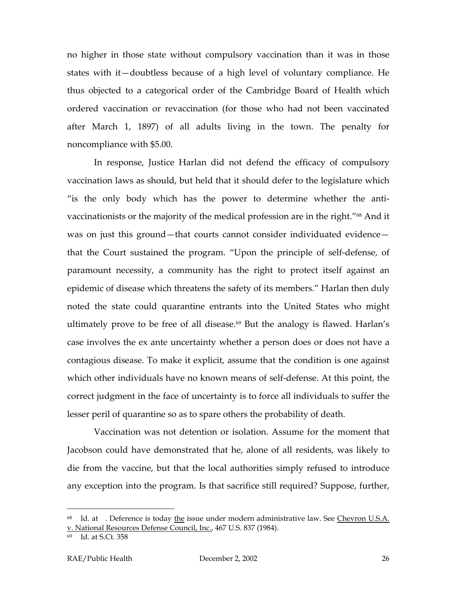no higher in those state without compulsory vaccination than it was in those states with it—doubtless because of a high level of voluntary compliance. He thus objected to a categorical order of the Cambridge Board of Health which ordered vaccination or revaccination (for those who had not been vaccinated after March 1, 1897) of all adults living in the town. The penalty for noncompliance with \$5.00.

In response, Justice Harlan did not defend the efficacy of compulsory vaccination laws as should, but held that it should defer to the legislature which "is the only body which has the power to determine whether the antivaccinationists or the majority of the medical profession are in the right."<sup>68</sup> And it was on just this ground—that courts cannot consider individuated evidence that the Court sustained the program. "Upon the principle of self-defense, of paramount necessity, a community has the right to protect itself against an epidemic of disease which threatens the safety of its members." Harlan then duly noted the state could quarantine entrants into the United States who might ultimately prove to be free of all disease.<sup>69</sup> But the analogy is flawed. Harlan's case involves the ex ante uncertainty whether a person does or does not have a contagious disease. To make it explicit, assume that the condition is one against which other individuals have no known means of self-defense. At this point, the correct judgment in the face of uncertainty is to force all individuals to suffer the lesser peril of quarantine so as to spare others the probability of death.

Vaccination was not detention or isolation. Assume for the moment that Jacobson could have demonstrated that he, alone of all residents, was likely to die from the vaccine, but that the local authorities simply refused to introduce any exception into the program. Is that sacrifice still required? Suppose, further,

<span id="page-27-0"></span> $68$  Id. at . Deference is today the issue under modern administrative law. See Chevron U.S.A. v. National Resources Defense Council, Inc., 467 U.S. 837 (1984).

<span id="page-27-1"></span><sup>69</sup> Id. at S.Ct. 358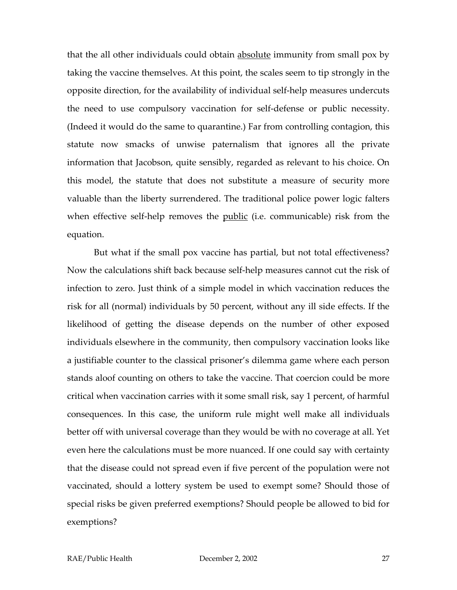that the all other individuals could obtain absolute immunity from small pox by taking the vaccine themselves. At this point, the scales seem to tip strongly in the opposite direction, for the availability of individual self-help measures undercuts the need to use compulsory vaccination for self-defense or public necessity. (Indeed it would do the same to quarantine.) Far from controlling contagion, this statute now smacks of unwise paternalism that ignores all the private information that Jacobson, quite sensibly, regarded as relevant to his choice. On this model, the statute that does not substitute a measure of security more valuable than the liberty surrendered. The traditional police power logic falters when effective self-help removes the public (i.e. communicable) risk from the equation.

But what if the small pox vaccine has partial, but not total effectiveness? Now the calculations shift back because self-help measures cannot cut the risk of infection to zero. Just think of a simple model in which vaccination reduces the risk for all (normal) individuals by 50 percent, without any ill side effects. If the likelihood of getting the disease depends on the number of other exposed individuals elsewhere in the community, then compulsory vaccination looks like a justifiable counter to the classical prisoner's dilemma game where each person stands aloof counting on others to take the vaccine. That coercion could be more critical when vaccination carries with it some small risk, say 1 percent, of harmful consequences. In this case, the uniform rule might well make all individuals better off with universal coverage than they would be with no coverage at all. Yet even here the calculations must be more nuanced. If one could say with certainty that the disease could not spread even if five percent of the population were not vaccinated, should a lottery system be used to exempt some? Should those of special risks be given preferred exemptions? Should people be allowed to bid for exemptions?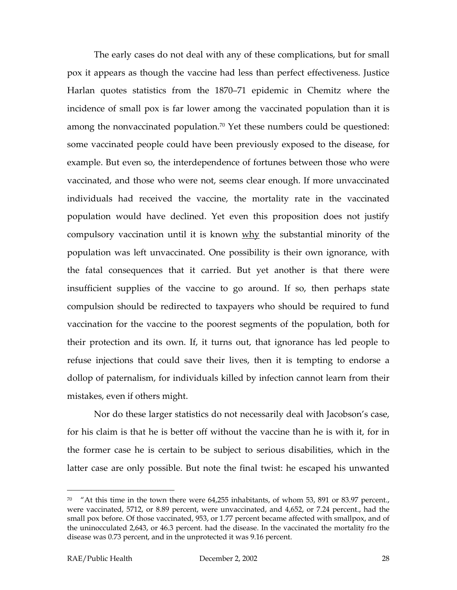The early cases do not deal with any of these complications, but for small pox it appears as though the vaccine had less than perfect effectiveness. Justice Harlan quotes statistics from the 1870–71 epidemic in Chemitz where the incidence of small pox is far lower among the vaccinated population than it is among the nonvaccinated population.<sup>70</sup> Yet these numbers could be questioned: some vaccinated people could have been previously exposed to the disease, for example. But even so, the interdependence of fortunes between those who were vaccinated, and those who were not, seems clear enough. If more unvaccinated individuals had received the vaccine, the mortality rate in the vaccinated population would have declined. Yet even this proposition does not justify compulsory vaccination until it is known why the substantial minority of the population was left unvaccinated. One possibility is their own ignorance, with the fatal consequences that it carried. But yet another is that there were insufficient supplies of the vaccine to go around. If so, then perhaps state compulsion should be redirected to taxpayers who should be required to fund vaccination for the vaccine to the poorest segments of the population, both for their protection and its own. If, it turns out, that ignorance has led people to refuse injections that could save their lives, then it is tempting to endorse a dollop of paternalism, for individuals killed by infection cannot learn from their mistakes, even if others might.

Nor do these larger statistics do not necessarily deal with Jacobson's case, for his claim is that he is better off without the vaccine than he is with it, for in the former case he is certain to be subject to serious disabilities, which in the latter case are only possible. But note the final twist: he escaped his unwanted

<span id="page-29-0"></span> $70$  "At this time in the town there were 64,255 inhabitants, of whom 53, 891 or 83.97 percent., were vaccinated, 5712, or 8.89 percent, were unvaccinated, and 4,652, or 7.24 percent., had the small pox before. Of those vaccinated, 953, or 1.77 percent became affected with smallpox, and of the uninocculated 2,643, or 46.3 percent. had the disease. In the vaccinated the mortality fro the disease was 0.73 percent, and in the unprotected it was 9.16 percent.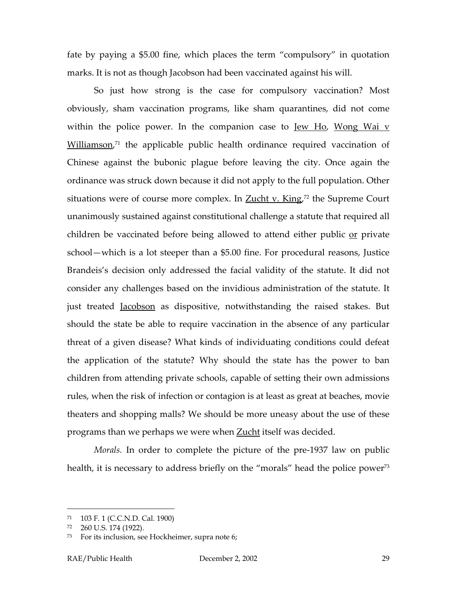fate by paying a \$5.00 fine, which places the term "compulsory" in quotation marks. It is not as though Jacobson had been vaccinated against his will.

So just how strong is the case for compulsory vaccination? Most obviously, sham vaccination programs, like sham quarantines, did not come within the police power. In the companion case to  $Iew Ho$ , Wong Wai v Williamson,<sup>71</sup> the applicable public health ordinance required vaccination of Chinese against the bubonic plague before leaving the city. Once again the ordinance was struck down because it did not apply to the full population. Other situations were of course more complex. In **Zucht v. King**,<sup>72</sup> the Supreme Court unanimously sustained against constitutional challenge a statute that required all children be vaccinated before being allowed to attend either public or private school—which is a lot steeper than a \$5.00 fine. For procedural reasons, Justice Brandeis's decision only addressed the facial validity of the statute. It did not consider any challenges based on the invidious administration of the statute. It just treated Jacobson as dispositive, notwithstanding the raised stakes. But should the state be able to require vaccination in the absence of any particular threat of a given disease? What kinds of individuating conditions could defeat the application of the statute? Why should the state has the power to ban children from attending private schools, capable of setting their own admissions rules, when the risk of infection or contagion is at least as great at beaches, movie theaters and shopping malls? We should be more uneasy about the use of these programs than we perhaps we were when **Zucht** itself was decided.

*Morals.* In order to complete the picture of the pre-1937 law on public health, it is necessary to address briefly on the "morals" head the police power<sup>73</sup>

<span id="page-30-0"></span><sup>71</sup> 103 F. 1 (C.C.N.D. Cal. 1900)

<span id="page-30-1"></span><sup>72</sup> 260 U.S. 174 (1922).

<span id="page-30-2"></span>For its inclusion, see Hockheimer, supra note 6;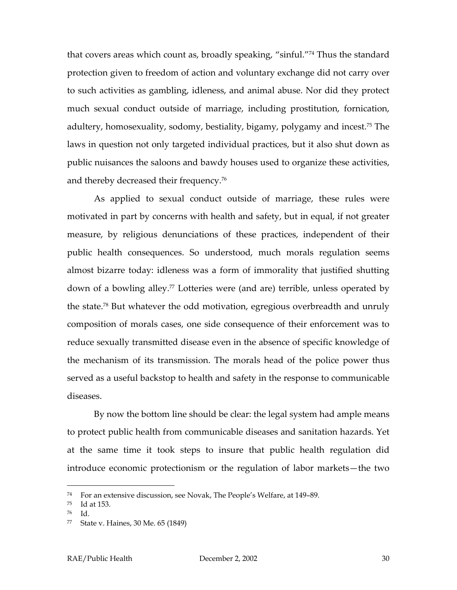that covers areas which count as, broadly speaking, "sinful.["74](#page-31-0) Thus the standard protection given to freedom of action and voluntary exchange did not carry over to such activities as gambling, idleness, and animal abuse. Nor did they protect much sexual conduct outside of marriage, including prostitution, fornication, adultery, homosexuality, sodomy, bestiality, bigamy, polygamy and incest.<sup>75</sup> The laws in question not only targeted individual practices, but it also shut down as public nuisances the saloons and bawdy houses used to organize these activities, and thereby decreased their frequency.[76](#page-31-2) 

As applied to sexual conduct outside of marriage, these rules were motivated in part by concerns with health and safety, but in equal, if not greater measure, by religious denunciations of these practices, independent of their public health consequences. So understood, much morals regulation seems almost bizarre today: idleness was a form of immorality that justified shutting down of a bowling alley.<sup>77</sup> Lotteries were (and are) terrible, unless operated by the state[.78](#page-31-4) But whatever the odd motivation, egregious overbreadth and unruly composition of morals cases, one side consequence of their enforcement was to reduce sexually transmitted disease even in the absence of specific knowledge of the mechanism of its transmission. The morals head of the police power thus served as a useful backstop to health and safety in the response to communicable diseases.

By now the bottom line should be clear: the legal system had ample means to protect public health from communicable diseases and sanitation hazards. Yet at the same time it took steps to insure that public health regulation did introduce economic protectionism or the regulation of labor markets—the two

<span id="page-31-0"></span><sup>&</sup>lt;sup>74</sup> For an extensive discussion, see Novak, The People's Welfare, at 149-89.

<span id="page-31-1"></span> $75$  Id at 153.

<span id="page-31-2"></span><sup>76</sup> Id.

<span id="page-31-4"></span><span id="page-31-3"></span><sup>77</sup> State v. Haines, 30 Me. 65 (1849)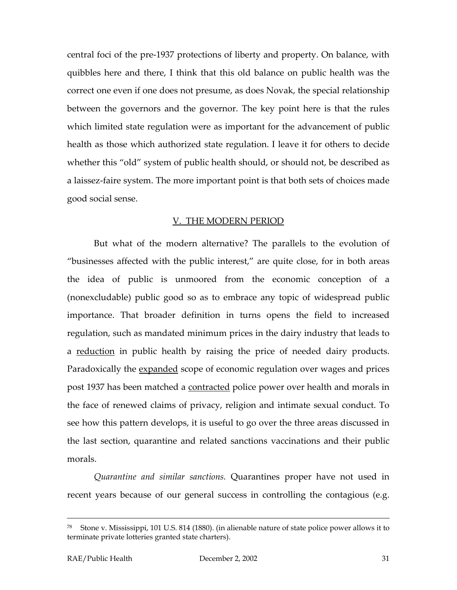central foci of the pre-1937 protections of liberty and property. On balance, with quibbles here and there, I think that this old balance on public health was the correct one even if one does not presume, as does Novak, the special relationship between the governors and the governor. The key point here is that the rules which limited state regulation were as important for the advancement of public health as those which authorized state regulation. I leave it for others to decide whether this "old" system of public health should, or should not, be described as a laissez-faire system. The more important point is that both sets of choices made good social sense.

#### V. THE MODERN PERIOD

But what of the modern alternative? The parallels to the evolution of "businesses affected with the public interest," are quite close, for in both areas the idea of public is unmoored from the economic conception of a (nonexcludable) public good so as to embrace any topic of widespread public importance. That broader definition in turns opens the field to increased regulation, such as mandated minimum prices in the dairy industry that leads to a reduction in public health by raising the price of needed dairy products. Paradoxically the expanded scope of economic regulation over wages and prices post 1937 has been matched a contracted police power over health and morals in the face of renewed claims of privacy, religion and intimate sexual conduct. To see how this pattern develops, it is useful to go over the three areas discussed in the last section, quarantine and related sanctions vaccinations and their public morals.

*Quarantine and similar sanctions.* Quarantines proper have not used in recent years because of our general success in controlling the contagious (e.g.

<sup>&</sup>lt;sup>78</sup> Stone v. Mississippi, 101 U.S. 814 (1880). (in alienable nature of state police power allows it to terminate private lotteries granted state charters).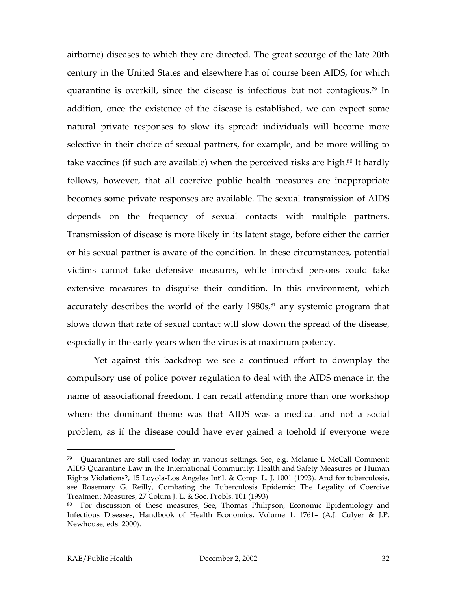airborne) diseases to which they are directed. The great scourge of the late 20th century in the United States and elsewhere has of course been AIDS, for which quarantine is overkill, since the disease is infectious but not contagious.[79](#page-33-0) In addition, once the existence of the disease is established, we can expect some natural private responses to slow its spread: individuals will become more selective in their choice of sexual partners, for example, and be more willing to take vaccines (if such are available) when the perceived risks are high.<sup>80</sup> It hardly follows, however, that all coercive public health measures are inappropriate becomes some private responses are available. The sexual transmission of AIDS depends on the frequency of sexual contacts with multiple partners. Transmission of disease is more likely in its latent stage, before either the carrier or his sexual partner is aware of the condition. In these circumstances, potential victims cannot take defensive measures, while infected persons could take extensive measures to disguise their condition. In this environment, which accurately describes the world of the early  $1980s<sub>5</sub>^{81}$  any systemic program that slows down that rate of sexual contact will slow down the spread of the disease, especially in the early years when the virus is at maximum potency.

Yet against this backdrop we see a continued effort to downplay the compulsory use of police power regulation to deal with the AIDS menace in the name of associational freedom. I can recall attending more than one workshop where the dominant theme was that AIDS was a medical and not a social problem, as if the disease could have ever gained a toehold if everyone were

<span id="page-33-0"></span> $79$  Quarantines are still used today in various settings. See, e.g. Melanie L McCall Comment: AIDS Quarantine Law in the International Community: Health and Safety Measures or Human Rights Violations?, 15 Loyola-Los Angeles Int'l. & Comp. L. J. 1001 (1993). And for tuberculosis, see Rosemary G. Reilly, Combating the Tuberculosis Epidemic: The Legality of Coercive Treatment Measures, 27 Colum J. L. & Soc. Probls. 101 (1993)

<span id="page-33-1"></span><sup>80</sup> For discussion of these measures, See, Thomas Philipson, Economic Epidemiology and Infectious Diseases, Handbook of Health Economics, Volume 1, 1761– (A.J. Culyer & J.P. Newhouse, eds. 2000).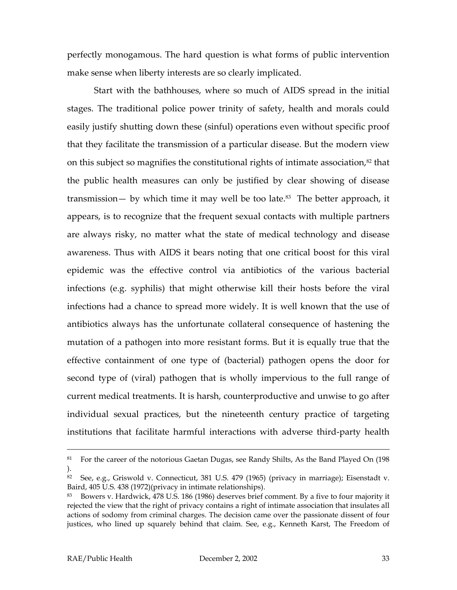<span id="page-34-1"></span>perfectly monogamous. The hard question is what forms of public intervention make sense when liberty interests are so clearly implicated.

Start with the bathhouses, where so much of AIDS spread in the initial stages. The traditional police power trinity of safety, health and morals could easily justify shutting down these (sinful) operations even without specific proof that they facilitate the transmission of a particular disease. But the modern view on this subject so magnifies the constitutional rights of intimate association,<sup>82</sup> that the public health measures can only be justified by clear showing of disease transmission— by which time it may well be too late.<sup>83</sup> The better approach, it appears, is to recognize that the frequent sexual contacts with multiple partners are always risky, no matter what the state of medical technology and disease awareness. Thus with AIDS it bears noting that one critical boost for this viral epidemic was the effective control via antibiotics of the various bacterial infections (e.g. syphilis) that might otherwise kill their hosts before the viral infections had a chance to spread more widely. It is well known that the use of antibiotics always has the unfortunate collateral consequence of hastening the mutation of a pathogen into more resistant forms. But it is equally true that the effective containment of one type of (bacterial) pathogen opens the door for second type of (viral) pathogen that is wholly impervious to the full range of current medical treatments. It is harsh, counterproductive and unwise to go after individual sexual practices, but the nineteenth century practice of targeting institutions that facilitate harmful interactions with adverse third-party health

<sup>&</sup>lt;sup>81</sup> For the career of the notorious Gaetan Dugas, see Randy Shilts, As the Band Played On (198 ).

<span id="page-34-0"></span><sup>&</sup>lt;sup>82</sup> See, e.g., Griswold v. Connecticut, 381 U.S. 479 (1965) (privacy in marriage); Eisenstadt v. Baird, 405 U.S. 438 (1972)(privacy in intimate relationships).

<sup>83</sup> Bowers v. Hardwick, 478 U.S. 186 (1986) deserves brief comment. By a five to four majority it rejected the view that the right of privacy contains a right of intimate association that insulates all actions of sodomy from criminal charges. The decision came over the passionate dissent of four justices, who lined up squarely behind that claim. See, e.g., Kenneth Karst, The Freedom of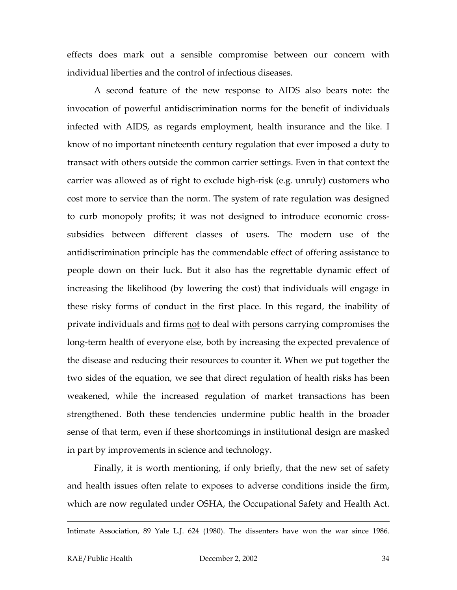effects does mark out a sensible compromise between our concern with individual liberties and the control of infectious diseases.

A second feature of the new response to AIDS also bears note: the invocation of powerful antidiscrimination norms for the benefit of individuals infected with AIDS, as regards employment, health insurance and the like. I know of no important nineteenth century regulation that ever imposed a duty to transact with others outside the common carrier settings. Even in that context the carrier was allowed as of right to exclude high-risk (e.g. unruly) customers who cost more to service than the norm. The system of rate regulation was designed to curb monopoly profits; it was not designed to introduce economic crosssubsidies between different classes of users. The modern use of the antidiscrimination principle has the commendable effect of offering assistance to people down on their luck. But it also has the regrettable dynamic effect of increasing the likelihood (by lowering the cost) that individuals will engage in these risky forms of conduct in the first place. In this regard, the inability of private individuals and firms <u>not</u> to deal with persons carrying compromises the long-term health of everyone else, both by increasing the expected prevalence of the disease and reducing their resources to counter it. When we put together the two sides of the equation, we see that direct regulation of health risks has been weakened, while the increased regulation of market transactions has been strengthened. Both these tendencies undermine public health in the broader sense of that term, even if these shortcomings in institutional design are masked in part by improvements in science and technology.

Finally, it is worth mentioning, if only briefly, that the new set of safety and health issues often relate to exposes to adverse conditions inside the firm, which are now regulated under OSHA, the Occupational Safety and Health Act.

Intimate Association, 89 Yale L.J. 624 (1980). The dissenters have won the war since 1986.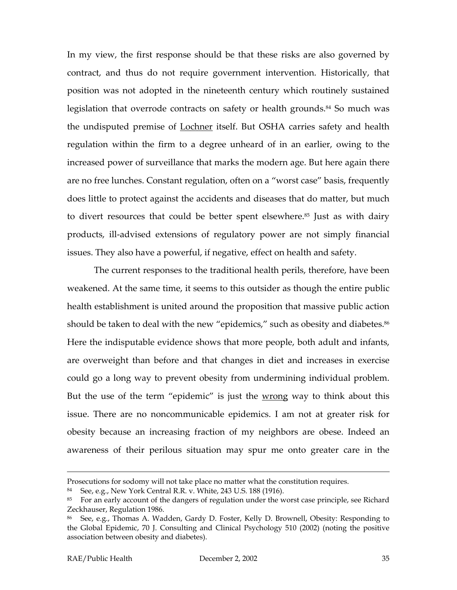In my view, the first response should be that these risks are also governed by contract, and thus do not require government intervention. Historically, that position was not adopted in the nineteenth century which routinely sustained legislation that overrode contracts on safety or health grounds.<sup>84</sup> So much was the undisputed premise of Lochner itself. But OSHA carries safety and health regulation within the firm to a degree unheard of in an earlier, owing to the increased power of surveillance that marks the modern age. But here again there are no free lunches. Constant regulation, often on a "worst case" basis, frequently does little to protect against the accidents and diseases that do matter, but much to divert resources that could be better spent elsewhere.<sup>85</sup> Just as with dairy products, ill-advised extensions of regulatory power are not simply financial issues. They also have a powerful, if negative, effect on health and safety.

The current responses to the traditional health perils, therefore, have been weakened. At the same time, it seems to this outsider as though the entire public health establishment is united around the proposition that massive public action should be taken to deal with the new "epidemics," such as obesity and diabetes.<sup>86</sup> Here the indisputable evidence shows that more people, both adult and infants, are overweight than before and that changes in diet and increases in exercise could go a long way to prevent obesity from undermining individual problem. But the use of the term "epidemic" is just the wrong way to think about this issue. There are no noncommunicable epidemics. I am not at greater risk for obesity because an increasing fraction of my neighbors are obese. Indeed an awareness of their perilous situation may spur me onto greater care in the

Prosecutions for sodomy will not take place no matter what the constitution requires.

<span id="page-36-0"></span><sup>84</sup> See, e.g., New York Central R.R. v. White, 243 U.S. 188 (1916).

<span id="page-36-1"></span><sup>&</sup>lt;sup>85</sup> For an early account of the dangers of regulation under the worst case principle, see Richard Zeckhauser, Regulation 1986.

<span id="page-36-2"></span><sup>86</sup> See, e.g., Thomas A. Wadden, Gardy D. Foster, Kelly D. Brownell, Obesity: Responding to the Global Epidemic, 70 J. Consulting and Clinical Psychology 510 (2002) (noting the positive association between obesity and diabetes).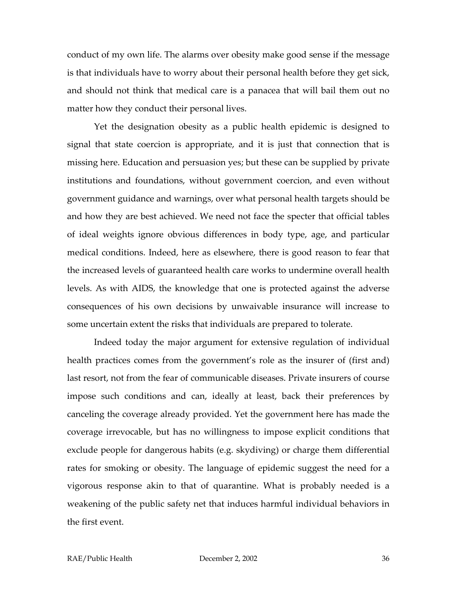conduct of my own life. The alarms over obesity make good sense if the message is that individuals have to worry about their personal health before they get sick, and should not think that medical care is a panacea that will bail them out no matter how they conduct their personal lives.

Yet the designation obesity as a public health epidemic is designed to signal that state coercion is appropriate, and it is just that connection that is missing here. Education and persuasion yes; but these can be supplied by private institutions and foundations, without government coercion, and even without government guidance and warnings, over what personal health targets should be and how they are best achieved. We need not face the specter that official tables of ideal weights ignore obvious differences in body type, age, and particular medical conditions. Indeed, here as elsewhere, there is good reason to fear that the increased levels of guaranteed health care works to undermine overall health levels. As with AIDS, the knowledge that one is protected against the adverse consequences of his own decisions by unwaivable insurance will increase to some uncertain extent the risks that individuals are prepared to tolerate.

Indeed today the major argument for extensive regulation of individual health practices comes from the government's role as the insurer of (first and) last resort, not from the fear of communicable diseases. Private insurers of course impose such conditions and can, ideally at least, back their preferences by canceling the coverage already provided. Yet the government here has made the coverage irrevocable, but has no willingness to impose explicit conditions that exclude people for dangerous habits (e.g. skydiving) or charge them differential rates for smoking or obesity. The language of epidemic suggest the need for a vigorous response akin to that of quarantine. What is probably needed is a weakening of the public safety net that induces harmful individual behaviors in the first event.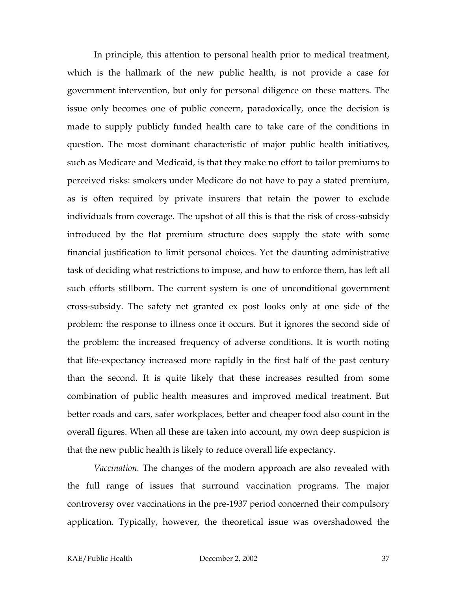In principle, this attention to personal health prior to medical treatment, which is the hallmark of the new public health, is not provide a case for government intervention, but only for personal diligence on these matters. The issue only becomes one of public concern, paradoxically, once the decision is made to supply publicly funded health care to take care of the conditions in question. The most dominant characteristic of major public health initiatives, such as Medicare and Medicaid, is that they make no effort to tailor premiums to perceived risks: smokers under Medicare do not have to pay a stated premium, as is often required by private insurers that retain the power to exclude individuals from coverage. The upshot of all this is that the risk of cross-subsidy introduced by the flat premium structure does supply the state with some financial justification to limit personal choices. Yet the daunting administrative task of deciding what restrictions to impose, and how to enforce them, has left all such efforts stillborn. The current system is one of unconditional government cross-subsidy. The safety net granted ex post looks only at one side of the problem: the response to illness once it occurs. But it ignores the second side of the problem: the increased frequency of adverse conditions. It is worth noting that life-expectancy increased more rapidly in the first half of the past century than the second. It is quite likely that these increases resulted from some combination of public health measures and improved medical treatment. But better roads and cars, safer workplaces, better and cheaper food also count in the overall figures. When all these are taken into account, my own deep suspicion is that the new public health is likely to reduce overall life expectancy.

*Vaccination.* The changes of the modern approach are also revealed with the full range of issues that surround vaccination programs. The major controversy over vaccinations in the pre-1937 period concerned their compulsory application. Typically, however, the theoretical issue was overshadowed the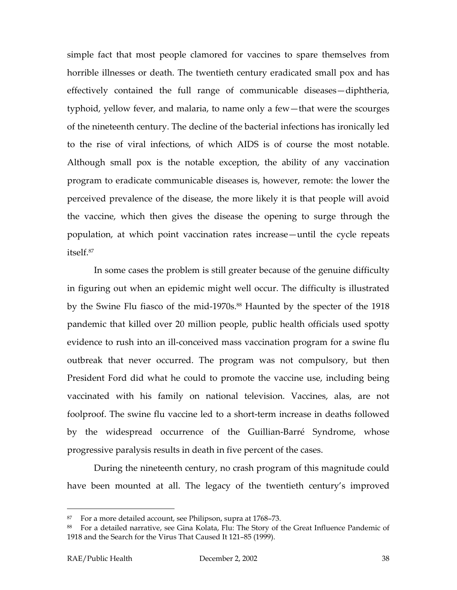simple fact that most people clamored for vaccines to spare themselves from horrible illnesses or death. The twentieth century eradicated small pox and has effectively contained the full range of communicable diseases—diphtheria, typhoid, yellow fever, and malaria, to name only a few—that were the scourges of the nineteenth century. The decline of the bacterial infections has ironically led to the rise of viral infections, of which AIDS is of course the most notable. Although small pox is the notable exception, the ability of any vaccination program to eradicate communicable diseases is, however, remote: the lower the perceived prevalence of the disease, the more likely it is that people will avoid the vaccine, which then gives the disease the opening to surge through the population, at which point vaccination rates increase—until the cycle repeats itself.[87](#page-39-0) 

In some cases the problem is still greater because of the genuine difficulty in figuring out when an epidemic might well occur. The difficulty is illustrated by the Swine Flu fiasco of the mid-1970s.<sup>88</sup> Haunted by the specter of the 1918 pandemic that killed over 20 million people, public health officials used spotty evidence to rush into an ill-conceived mass vaccination program for a swine flu outbreak that never occurred. The program was not compulsory, but then President Ford did what he could to promote the vaccine use, including being vaccinated with his family on national television. Vaccines, alas, are not foolproof. The swine flu vaccine led to a short-term increase in deaths followed by the widespread occurrence of the Guillian-Barré Syndrome, whose progressive paralysis results in death in five percent of the cases.

During the nineteenth century, no crash program of this magnitude could have been mounted at all. The legacy of the twentieth century's improved

<span id="page-39-0"></span><sup>87</sup> For a more detailed account, see Philipson, supra at 1768–73.

<span id="page-39-1"></span><sup>88</sup> For a detailed narrative, see Gina Kolata, Flu: The Story of the Great Influence Pandemic of 1918 and the Search for the Virus That Caused It 121–85 (1999).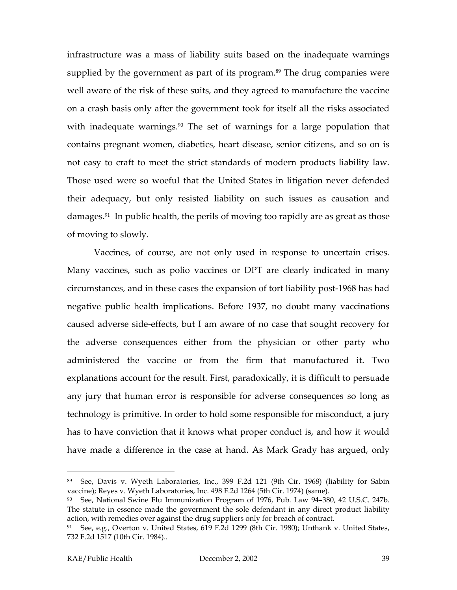infrastructure was a mass of liability suits based on the inadequate warnings supplied by the government as part of its program.<sup>89</sup> The drug companies were well aware of the risk of these suits, and they agreed to manufacture the vaccine on a crash basis only after the government took for itself all the risks associated with inadequate warnings.<sup>90</sup> The set of warnings for a large population that contains pregnant women, diabetics, heart disease, senior citizens, and so on is not easy to craft to meet the strict standards of modern products liability law. Those used were so woeful that the United States in litigation never defended their adequacy, but only resisted liability on such issues as causation and damages[.91](#page-40-2) In public health, the perils of moving too rapidly are as great as those of moving to slowly.

Vaccines, of course, are not only used in response to uncertain crises. Many vaccines, such as polio vaccines or DPT are clearly indicated in many circumstances, and in these cases the expansion of tort liability post-1968 has had negative public health implications. Before 1937, no doubt many vaccinations caused adverse side-effects, but I am aware of no case that sought recovery for the adverse consequences either from the physician or other party who administered the vaccine or from the firm that manufactured it. Two explanations account for the result. First, paradoxically, it is difficult to persuade any jury that human error is responsible for adverse consequences so long as technology is primitive. In order to hold some responsible for misconduct, a jury has to have conviction that it knows what proper conduct is, and how it would have made a difference in the case at hand. As Mark Grady has argued, only

<span id="page-40-0"></span><sup>89</sup> See, Davis v. Wyeth Laboratories, Inc., 399 F.2d 121 (9th Cir. 1968) (liability for Sabin vaccine); Reyes v. Wyeth Laboratories, Inc. 498 F.2d 1264 (5th Cir. 1974) (same).

<span id="page-40-1"></span>See, National Swine Flu Immunization Program of 1976, Pub. Law 94-380, 42 U.S.C. 247b. The statute in essence made the government the sole defendant in any direct product liability action, with remedies over against the drug suppliers only for breach of contract.

<span id="page-40-2"></span><sup>&</sup>lt;sup>91</sup> See, e.g., Overton v. United States, 619 F.2d 1299 (8th Cir. 1980); Unthank v. United States, 732 F.2d 1517 (10th Cir. 1984)..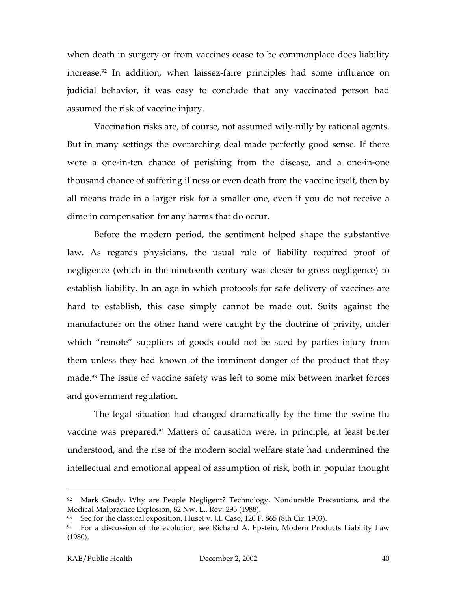when death in surgery or from vaccines cease to be commonplace does liability increase.<sup>92</sup> In addition, when laissez-faire principles had some influence on judicial behavior, it was easy to conclude that any vaccinated person had assumed the risk of vaccine injury.

Vaccination risks are, of course, not assumed wily-nilly by rational agents. But in many settings the overarching deal made perfectly good sense. If there were a one-in-ten chance of perishing from the disease, and a one-in-one thousand chance of suffering illness or even death from the vaccine itself, then by all means trade in a larger risk for a smaller one, even if you do not receive a dime in compensation for any harms that do occur.

Before the modern period, the sentiment helped shape the substantive law. As regards physicians, the usual rule of liability required proof of negligence (which in the nineteenth century was closer to gross negligence) to establish liability. In an age in which protocols for safe delivery of vaccines are hard to establish, this case simply cannot be made out. Suits against the manufacturer on the other hand were caught by the doctrine of privity, under which "remote" suppliers of goods could not be sued by parties injury from them unless they had known of the imminent danger of the product that they made.<sup>93</sup> The issue of vaccine safety was left to some mix between market forces and government regulation.

The legal situation had changed dramatically by the time the swine flu vaccine was prepared.<sup>94</sup> Matters of causation were, in principle, at least better understood, and the rise of the modern social welfare state had undermined the intellectual and emotional appeal of assumption of risk, both in popular thought

<span id="page-41-0"></span><sup>&</sup>lt;sup>92</sup> Mark Grady, Why are People Negligent? Technology, Nondurable Precautions, and the Medical Malpractice Explosion, 82 Nw. L.. Rev. 293 (1988).

<span id="page-41-1"></span><sup>93</sup> See for the classical exposition, Huset v. J.I. Case, 120 F. 865 (8th Cir. 1903).

<span id="page-41-2"></span> $94$  For a discussion of the evolution, see Richard A. Epstein, Modern Products Liability Law (1980).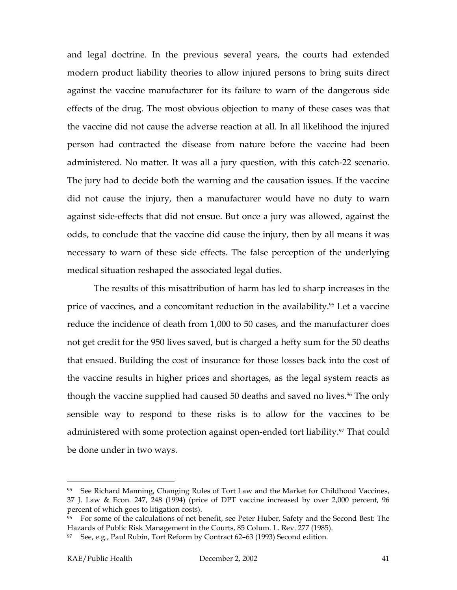and legal doctrine. In the previous several years, the courts had extended modern product liability theories to allow injured persons to bring suits direct against the vaccine manufacturer for its failure to warn of the dangerous side effects of the drug. The most obvious objection to many of these cases was that the vaccine did not cause the adverse reaction at all. In all likelihood the injured person had contracted the disease from nature before the vaccine had been administered. No matter. It was all a jury question, with this catch-22 scenario. The jury had to decide both the warning and the causation issues. If the vaccine did not cause the injury, then a manufacturer would have no duty to warn against side-effects that did not ensue. But once a jury was allowed, against the odds, to conclude that the vaccine did cause the injury, then by all means it was necessary to warn of these side effects. The false perception of the underlying medical situation reshaped the associated legal duties.

The results of this misattribution of harm has led to sharp increases in the price of vaccines, and a concomitant reduction in the availability[.95](#page-42-0) Let a vaccine reduce the incidence of death from 1,000 to 50 cases, and the manufacturer does not get credit for the 950 lives saved, but is charged a hefty sum for the 50 deaths that ensued. Building the cost of insurance for those losses back into the cost of the vaccine results in higher prices and shortages, as the legal system reacts as though the vaccine supplied had caused 50 deaths and saved no lives.<sup>96</sup> The only sensible way to respond to these risks is to allow for the vaccines to be administered with some protection against open-ended tort liability.<sup>97</sup> That could be done under in two ways.

<span id="page-42-0"></span><sup>&</sup>lt;sup>95</sup> See Richard Manning, Changing Rules of Tort Law and the Market for Childhood Vaccines, 37 J. Law & Econ. 247, 248 (1994) (price of DPT vaccine increased by over 2,000 percent, 96 percent of which goes to litigation costs).

<span id="page-42-1"></span><sup>96</sup> For some of the calculations of net benefit, see Peter Huber, Safety and the Second Best: The Hazards of Public Risk Management in the Courts, 85 Colum. L. Rev. 277 (1985).

<span id="page-42-2"></span> $97$  See, e.g., Paul Rubin, Tort Reform by Contract 62–63 (1993) Second edition.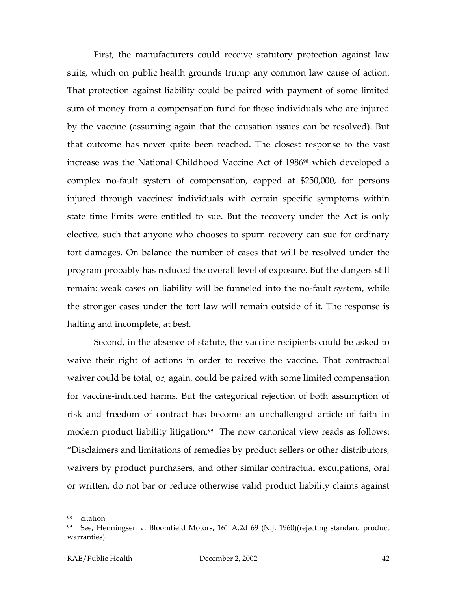First, the manufacturers could receive statutory protection against law suits, which on public health grounds trump any common law cause of action. That protection against liability could be paired with payment of some limited sum of money from a compensation fund for those individuals who are injured by the vaccine (assuming again that the causation issues can be resolved). But that outcome has never quite been reached. The closest response to the vast increase was the National Childhood Vaccine Act of 1986<sup>98</sup> which developed a complex no-fault system of compensation, capped at \$250,000, for persons injured through vaccines: individuals with certain specific symptoms within state time limits were entitled to sue. But the recovery under the Act is only elective, such that anyone who chooses to spurn recovery can sue for ordinary tort damages. On balance the number of cases that will be resolved under the program probably has reduced the overall level of exposure. But the dangers still remain: weak cases on liability will be funneled into the no-fault system, while the stronger cases under the tort law will remain outside of it. The response is halting and incomplete, at best.

Second, in the absence of statute, the vaccine recipients could be asked to waive their right of actions in order to receive the vaccine. That contractual waiver could be total, or, again, could be paired with some limited compensation for vaccine-induced harms. But the categorical rejection of both assumption of risk and freedom of contract has become an unchallenged article of faith in modern product liability litigation.<sup>99</sup> The now canonical view reads as follows: "Disclaimers and limitations of remedies by product sellers or other distributors, waivers by product purchasers, and other similar contractual exculpations, oral or written, do not bar or reduce otherwise valid product liability claims against

<span id="page-43-0"></span>citation

<span id="page-43-1"></span><sup>99</sup> See, Henningsen v. Bloomfield Motors, 161 A.2d 69 (N.J. 1960)(rejecting standard product warranties).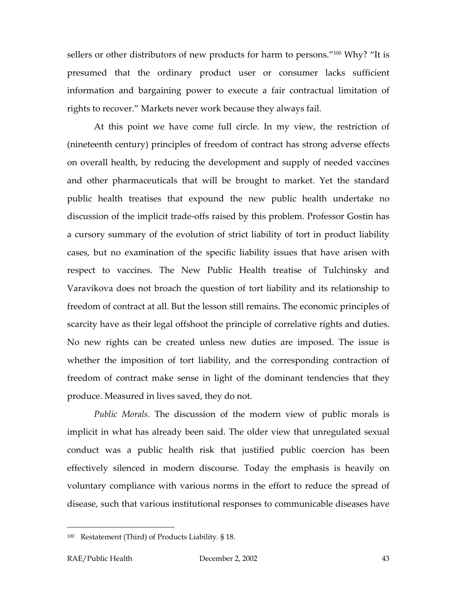sellers or other distributors of new products for harm to persons."<sup>100</sup> Why? "It is presumed that the ordinary product user or consumer lacks sufficient information and bargaining power to execute a fair contractual limitation of rights to recover." Markets never work because they always fail.

At this point we have come full circle. In my view, the restriction of (nineteenth century) principles of freedom of contract has strong adverse effects on overall health, by reducing the development and supply of needed vaccines and other pharmaceuticals that will be brought to market. Yet the standard public health treatises that expound the new public health undertake no discussion of the implicit trade-offs raised by this problem. Professor Gostin has a cursory summary of the evolution of strict liability of tort in product liability cases, but no examination of the specific liability issues that have arisen with respect to vaccines. The New Public Health treatise of Tulchinsky and Varavikova does not broach the question of tort liability and its relationship to freedom of contract at all. But the lesson still remains. The economic principles of scarcity have as their legal offshoot the principle of correlative rights and duties. No new rights can be created unless new duties are imposed. The issue is whether the imposition of tort liability, and the corresponding contraction of freedom of contract make sense in light of the dominant tendencies that they produce. Measured in lives saved, they do not.

*Public Morals.* The discussion of the modern view of public morals is implicit in what has already been said. The older view that unregulated sexual conduct was a public health risk that justified public coercion has been effectively silenced in modern discourse. Today the emphasis is heavily on voluntary compliance with various norms in the effort to reduce the spread of disease, such that various institutional responses to communicable diseases have

<span id="page-44-0"></span><sup>100</sup> Restatement (Third) of Products Liability. § 18.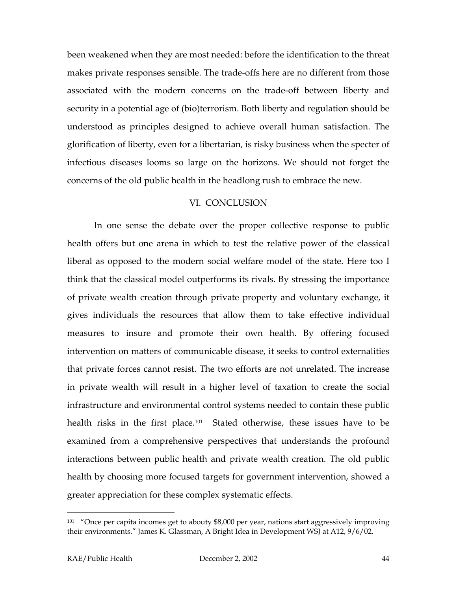been weakened when they are most needed: before the identification to the threat makes private responses sensible. The trade-offs here are no different from those associated with the modern concerns on the trade-off between liberty and security in a potential age of (bio)terrorism. Both liberty and regulation should be understood as principles designed to achieve overall human satisfaction. The glorification of liberty, even for a libertarian, is risky business when the specter of infectious diseases looms so large on the horizons. We should not forget the concerns of the old public health in the headlong rush to embrace the new.

#### VI. CONCLUSION

In one sense the debate over the proper collective response to public health offers but one arena in which to test the relative power of the classical liberal as opposed to the modern social welfare model of the state. Here too I think that the classical model outperforms its rivals. By stressing the importance of private wealth creation through private property and voluntary exchange, it gives individuals the resources that allow them to take effective individual measures to insure and promote their own health. By offering focused intervention on matters of communicable disease, it seeks to control externalities that private forces cannot resist. The two efforts are not unrelated. The increase in private wealth will result in a higher level of taxation to create the social infrastructure and environmental control systems needed to contain these public health risks in the first place.<sup>101</sup> Stated otherwise, these issues have to be examined from a comprehensive perspectives that understands the profound interactions between public health and private wealth creation. The old public health by choosing more focused targets for government intervention, showed a greater appreciation for these complex systematic effects.

<span id="page-45-0"></span> $101$  "Once per capita incomes get to abouty \$8,000 per year, nations start aggressively improving their environments." James K. Glassman, A Bright Idea in Development WSJ at A12, 9/6/02.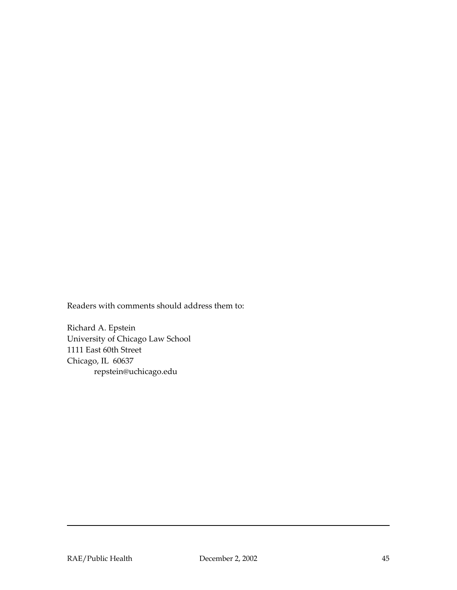Readers with comments should address them to:

Richard A. Epstein University of Chicago Law School 1111 East 60th Street Chicago, IL 60637 repstein@uchicago.edu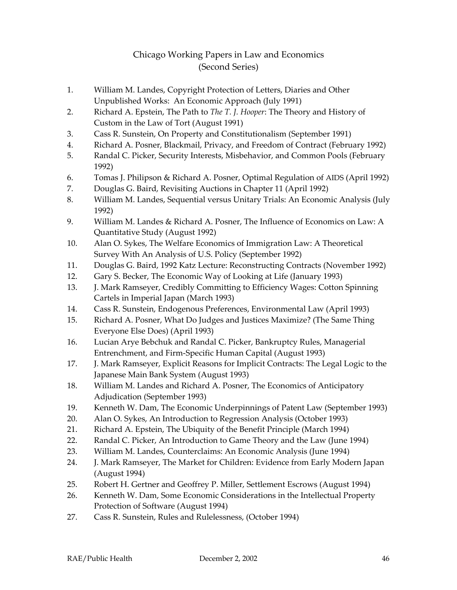#### Chicago Working Papers in Law and Economics (Second Series)

- 1. William M. Landes, Copyright Protection of Letters, Diaries and Other Unpublished Works: An Economic Approach (July 1991)
- 2. Richard A. Epstein, The Path to *The T. J. Hooper*: The Theory and History of Custom in the Law of Tort (August 1991)
- 3. Cass R. Sunstein, On Property and Constitutionalism (September 1991)
- 4. Richard A. Posner, Blackmail, Privacy, and Freedom of Contract (February 1992)
- 5. Randal C. Picker, Security Interests, Misbehavior, and Common Pools (February 1992)
- 6. Tomas J. Philipson & Richard A. Posner, Optimal Regulation of AIDS (April 1992)
- 7. Douglas G. Baird, Revisiting Auctions in Chapter 11 (April 1992)
- 8. William M. Landes, Sequential versus Unitary Trials: An Economic Analysis (July 1992)
- 9. William M. Landes & Richard A. Posner, The Influence of Economics on Law: A Quantitative Study (August 1992)
- 10. Alan O. Sykes, The Welfare Economics of Immigration Law: A Theoretical Survey With An Analysis of U.S. Policy (September 1992)
- 11. Douglas G. Baird, 1992 Katz Lecture: Reconstructing Contracts (November 1992)
- 12. Gary S. Becker, The Economic Way of Looking at Life (January 1993)
- 13. J. Mark Ramseyer, Credibly Committing to Efficiency Wages: Cotton Spinning Cartels in Imperial Japan (March 1993)
- 14. Cass R. Sunstein, Endogenous Preferences, Environmental Law (April 1993)
- 15. Richard A. Posner, What Do Judges and Justices Maximize? (The Same Thing Everyone Else Does) (April 1993)
- 16. Lucian Arye Bebchuk and Randal C. Picker, Bankruptcy Rules, Managerial Entrenchment, and Firm-Specific Human Capital (August 1993)
- 17. J. Mark Ramseyer, Explicit Reasons for Implicit Contracts: The Legal Logic to the Japanese Main Bank System (August 1993)
- 18. William M. Landes and Richard A. Posner, The Economics of Anticipatory Adjudication (September 1993)
- 19. Kenneth W. Dam, The Economic Underpinnings of Patent Law (September 1993)
- 20. Alan O. Sykes, An Introduction to Regression Analysis (October 1993)
- 21. Richard A. Epstein, The Ubiquity of the Benefit Principle (March 1994)
- 22. Randal C. Picker, An Introduction to Game Theory and the Law (June 1994)
- 23. William M. Landes, Counterclaims: An Economic Analysis (June 1994)
- 24. J. Mark Ramseyer, The Market for Children: Evidence from Early Modern Japan (August 1994)
- 25. Robert H. Gertner and Geoffrey P. Miller, Settlement Escrows (August 1994)
- 26. Kenneth W. Dam, Some Economic Considerations in the Intellectual Property Protection of Software (August 1994)
- 27. Cass R. Sunstein, Rules and Rulelessness, (October 1994)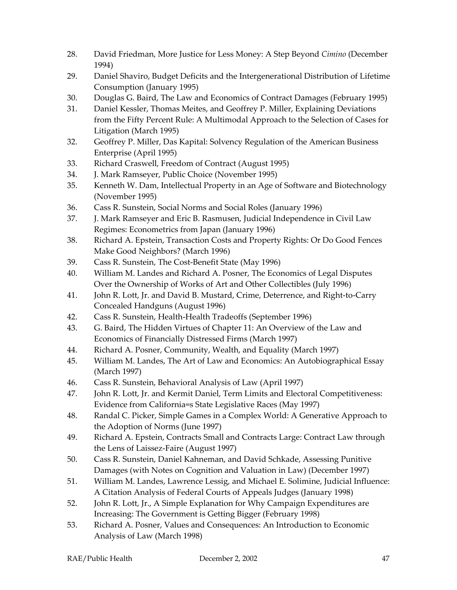- 28. David Friedman, More Justice for Less Money: A Step Beyond *Cimino* (December 1994)
- 29. Daniel Shaviro, Budget Deficits and the Intergenerational Distribution of Lifetime Consumption (January 1995)
- 30. Douglas G. Baird, The Law and Economics of Contract Damages (February 1995)
- 31. Daniel Kessler, Thomas Meites, and Geoffrey P. Miller, Explaining Deviations from the Fifty Percent Rule: A Multimodal Approach to the Selection of Cases for Litigation (March 1995)
- 32. Geoffrey P. Miller, Das Kapital: Solvency Regulation of the American Business Enterprise (April 1995)
- 33. Richard Craswell, Freedom of Contract (August 1995)
- 34. J. Mark Ramseyer, Public Choice (November 1995)
- 35. Kenneth W. Dam, Intellectual Property in an Age of Software and Biotechnology (November 1995)
- 36. Cass R. Sunstein, Social Norms and Social Roles (January 1996)
- 37. J. Mark Ramseyer and Eric B. Rasmusen, Judicial Independence in Civil Law Regimes: Econometrics from Japan (January 1996)
- 38. Richard A. Epstein, Transaction Costs and Property Rights: Or Do Good Fences Make Good Neighbors? (March 1996)
- 39. Cass R. Sunstein, The Cost-Benefit State (May 1996)
- 40. William M. Landes and Richard A. Posner, The Economics of Legal Disputes Over the Ownership of Works of Art and Other Collectibles (July 1996)
- 41. John R. Lott, Jr. and David B. Mustard, Crime, Deterrence, and Right-to-Carry Concealed Handguns (August 1996)
- 42. Cass R. Sunstein, Health-Health Tradeoffs (September 1996)
- 43. G. Baird, The Hidden Virtues of Chapter 11: An Overview of the Law and Economics of Financially Distressed Firms (March 1997)
- 44. Richard A. Posner, Community, Wealth, and Equality (March 1997)
- 45. William M. Landes, The Art of Law and Economics: An Autobiographical Essay (March 1997)
- 46. Cass R. Sunstein, Behavioral Analysis of Law (April 1997)
- 47. John R. Lott, Jr. and Kermit Daniel, Term Limits and Electoral Competitiveness: Evidence from California=s State Legislative Races (May 1997)
- 48. Randal C. Picker, Simple Games in a Complex World: A Generative Approach to the Adoption of Norms (June 1997)
- 49. Richard A. Epstein, Contracts Small and Contracts Large: Contract Law through the Lens of Laissez-Faire (August 1997)
- 50. Cass R. Sunstein, Daniel Kahneman, and David Schkade, Assessing Punitive Damages (with Notes on Cognition and Valuation in Law) (December 1997)
- 51. William M. Landes, Lawrence Lessig, and Michael E. Solimine, Judicial Influence: A Citation Analysis of Federal Courts of Appeals Judges (January 1998)
- 52. John R. Lott, Jr., A Simple Explanation for Why Campaign Expenditures are Increasing: The Government is Getting Bigger (February 1998)
- 53. Richard A. Posner, Values and Consequences: An Introduction to Economic Analysis of Law (March 1998)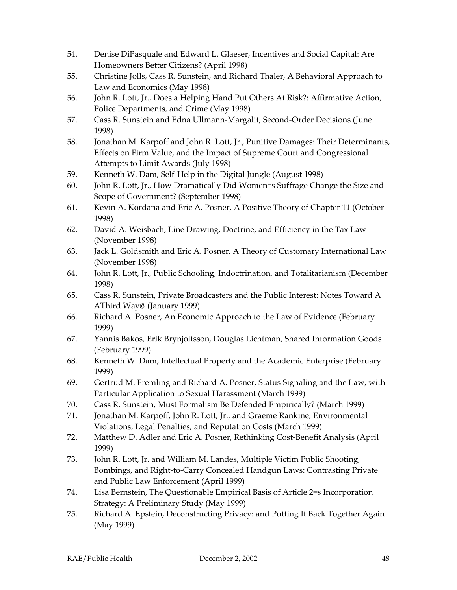- 54. Denise DiPasquale and Edward L. Glaeser, Incentives and Social Capital: Are Homeowners Better Citizens? (April 1998)
- 55. Christine Jolls, Cass R. Sunstein, and Richard Thaler, A Behavioral Approach to Law and Economics (May 1998)
- 56. John R. Lott, Jr., Does a Helping Hand Put Others At Risk?: Affirmative Action, Police Departments, and Crime (May 1998)
- 57. Cass R. Sunstein and Edna Ullmann-Margalit, Second-Order Decisions (June 1998)
- 58. Jonathan M. Karpoff and John R. Lott, Jr., Punitive Damages: Their Determinants, Effects on Firm Value, and the Impact of Supreme Court and Congressional Attempts to Limit Awards (July 1998)
- 59. Kenneth W. Dam, Self-Help in the Digital Jungle (August 1998)
- 60. John R. Lott, Jr., How Dramatically Did Women=s Suffrage Change the Size and Scope of Government? (September 1998)
- 61. Kevin A. Kordana and Eric A. Posner, A Positive Theory of Chapter 11 (October 1998)
- 62. David A. Weisbach, Line Drawing, Doctrine, and Efficiency in the Tax Law (November 1998)
- 63. Jack L. Goldsmith and Eric A. Posner, A Theory of Customary International Law (November 1998)
- 64. John R. Lott, Jr., Public Schooling, Indoctrination, and Totalitarianism (December 1998)
- 65. Cass R. Sunstein, Private Broadcasters and the Public Interest: Notes Toward A AThird Way@ (January 1999)
- 66. Richard A. Posner, An Economic Approach to the Law of Evidence (February 1999)
- 67. Yannis Bakos, Erik Brynjolfsson, Douglas Lichtman, Shared Information Goods (February 1999)
- 68. Kenneth W. Dam, Intellectual Property and the Academic Enterprise (February 1999)
- 69. Gertrud M. Fremling and Richard A. Posner, Status Signaling and the Law, with Particular Application to Sexual Harassment (March 1999)
- 70. Cass R. Sunstein, Must Formalism Be Defended Empirically? (March 1999)
- 71. Jonathan M. Karpoff, John R. Lott, Jr., and Graeme Rankine, Environmental Violations, Legal Penalties, and Reputation Costs (March 1999)
- 72. Matthew D. Adler and Eric A. Posner, Rethinking Cost-Benefit Analysis (April 1999)
- 73. John R. Lott, Jr. and William M. Landes, Multiple Victim Public Shooting, Bombings, and Right-to-Carry Concealed Handgun Laws: Contrasting Private and Public Law Enforcement (April 1999)
- 74. Lisa Bernstein, The Questionable Empirical Basis of Article 2=s Incorporation Strategy: A Preliminary Study (May 1999)
- 75. Richard A. Epstein, Deconstructing Privacy: and Putting It Back Together Again (May 1999)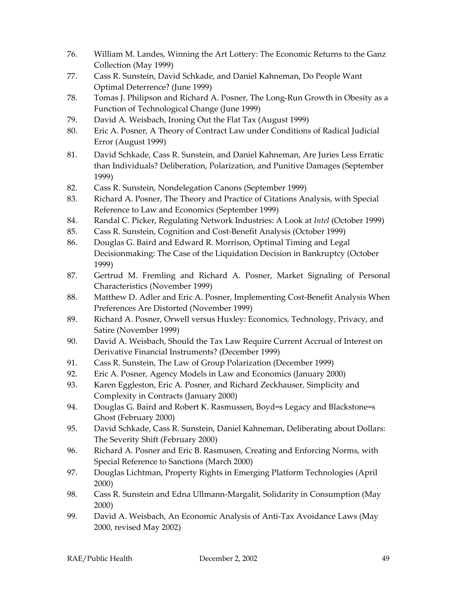- 76. William M. Landes, Winning the Art Lottery: The Economic Returns to the Ganz Collection (May 1999)
- 77. Cass R. Sunstein, David Schkade, and Daniel Kahneman, Do People Want Optimal Deterrence? (June 1999)
- 78. Tomas J. Philipson and Richard A. Posner, The Long-Run Growth in Obesity as a Function of Technological Change (June 1999)
- 79. David A. Weisbach, Ironing Out the Flat Tax (August 1999)
- 80. Eric A. Posner, A Theory of Contract Law under Conditions of Radical Judicial Error (August 1999)
- 81. David Schkade, Cass R. Sunstein, and Daniel Kahneman, Are Juries Less Erratic than Individuals? Deliberation, Polarization, and Punitive Damages (September 1999)
- 82. Cass R. Sunstein, Nondelegation Canons (September 1999)
- 83. Richard A. Posner, The Theory and Practice of Citations Analysis, with Special Reference to Law and Economics (September 1999)
- 84. Randal C. Picker, Regulating Network Industries: A Look at *Intel* (October 1999)
- 85. Cass R. Sunstein, Cognition and Cost-Benefit Analysis (October 1999)
- 86. Douglas G. Baird and Edward R. Morrison, Optimal Timing and Legal Decisionmaking: The Case of the Liquidation Decision in Bankruptcy (October 1999)
- 87. Gertrud M. Fremling and Richard A. Posner, Market Signaling of Personal Characteristics (November 1999)
- 88. Matthew D. Adler and Eric A. Posner, Implementing Cost-Benefit Analysis When Preferences Are Distorted (November 1999)
- 89. Richard A. Posner, Orwell versus Huxley: Economics, Technology, Privacy, and Satire (November 1999)
- 90. David A. Weisbach, Should the Tax Law Require Current Accrual of Interest on Derivative Financial Instruments? (December 1999)
- 91. Cass R. Sunstein, The Law of Group Polarization (December 1999)
- 92. Eric A. Posner, Agency Models in Law and Economics (January 2000)
- 93. Karen Eggleston, Eric A. Posner, and Richard Zeckhauser, Simplicity and Complexity in Contracts (January 2000)
- 94. Douglas G. Baird and Robert K. Rasmussen, Boyd=s Legacy and Blackstone=s Ghost (February 2000)
- 95. David Schkade, Cass R. Sunstein, Daniel Kahneman, Deliberating about Dollars: The Severity Shift (February 2000)
- 96. Richard A. Posner and Eric B. Rasmusen, Creating and Enforcing Norms, with Special Reference to Sanctions (March 2000)
- 97. Douglas Lichtman, Property Rights in Emerging Platform Technologies (April 2000)
- 98. Cass R. Sunstein and Edna Ullmann-Margalit, Solidarity in Consumption (May 2000)
- 99. David A. Weisbach, An Economic Analysis of Anti-Tax Avoidance Laws (May 2000, revised May 2002)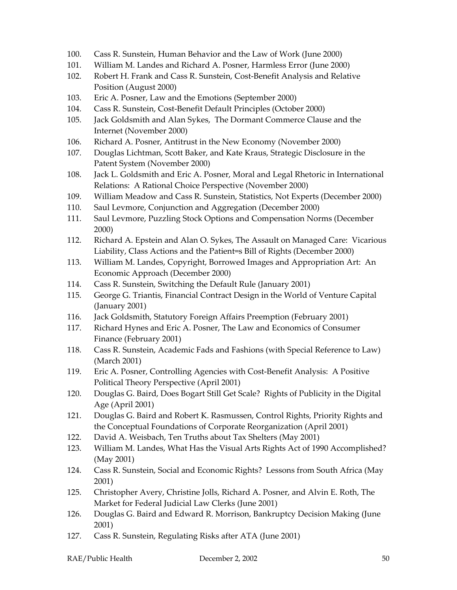- 100. Cass R. Sunstein, Human Behavior and the Law of Work (June 2000)
- 101. William M. Landes and Richard A. Posner, Harmless Error (June 2000)
- 102. Robert H. Frank and Cass R. Sunstein, Cost-Benefit Analysis and Relative Position (August 2000)
- 103. Eric A. Posner, Law and the Emotions (September 2000)
- 104. Cass R. Sunstein, Cost-Benefit Default Principles (October 2000)
- 105. Jack Goldsmith and Alan Sykes, The Dormant Commerce Clause and the Internet (November 2000)
- 106. Richard A. Posner, Antitrust in the New Economy (November 2000)
- 107. Douglas Lichtman, Scott Baker, and Kate Kraus, Strategic Disclosure in the Patent System (November 2000)
- 108. Jack L. Goldsmith and Eric A. Posner, Moral and Legal Rhetoric in International Relations: A Rational Choice Perspective (November 2000)
- 109. William Meadow and Cass R. Sunstein, Statistics, Not Experts (December 2000)
- 110. Saul Levmore, Conjunction and Aggregation (December 2000)
- 111. Saul Levmore, Puzzling Stock Options and Compensation Norms (December 2000)
- 112. Richard A. Epstein and Alan O. Sykes, The Assault on Managed Care: Vicarious Liability, Class Actions and the Patient=s Bill of Rights (December 2000)
- 113. William M. Landes, Copyright, Borrowed Images and Appropriation Art: An Economic Approach (December 2000)
- 114. Cass R. Sunstein, Switching the Default Rule (January 2001)
- 115. George G. Triantis, Financial Contract Design in the World of Venture Capital (January 2001)
- 116. Jack Goldsmith, Statutory Foreign Affairs Preemption (February 2001)
- 117. Richard Hynes and Eric A. Posner, The Law and Economics of Consumer Finance (February 2001)
- 118. Cass R. Sunstein, Academic Fads and Fashions (with Special Reference to Law) (March 2001)
- 119. Eric A. Posner, Controlling Agencies with Cost-Benefit Analysis: A Positive Political Theory Perspective (April 2001)
- 120. Douglas G. Baird, Does Bogart Still Get Scale? Rights of Publicity in the Digital Age (April 2001)
- 121. Douglas G. Baird and Robert K. Rasmussen, Control Rights, Priority Rights and the Conceptual Foundations of Corporate Reorganization (April 2001)
- 122. David A. Weisbach, Ten Truths about Tax Shelters (May 2001)
- 123. William M. Landes, What Has the Visual Arts Rights Act of 1990 Accomplished? (May 2001)
- 124. Cass R. Sunstein, Social and Economic Rights? Lessons from South Africa (May 2001)
- 125. Christopher Avery, Christine Jolls, Richard A. Posner, and Alvin E. Roth, The Market for Federal Judicial Law Clerks (June 2001)
- 126. Douglas G. Baird and Edward R. Morrison, Bankruptcy Decision Making (June 2001)
- 127. Cass R. Sunstein, Regulating Risks after ATA (June 2001)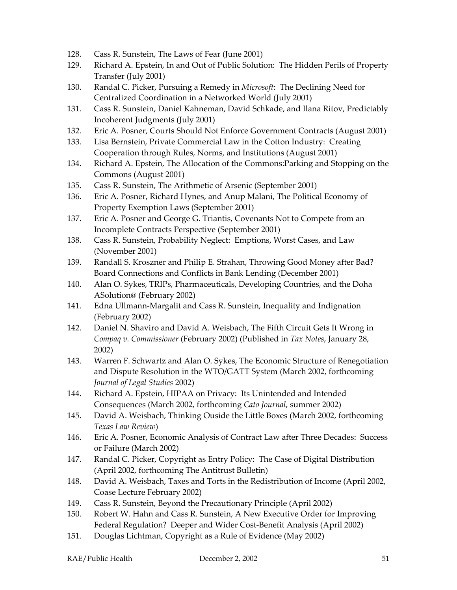- 128. Cass R. Sunstein, The Laws of Fear (June 2001)
- 129. Richard A. Epstein, In and Out of Public Solution: The Hidden Perils of Property Transfer (July 2001)
- 130. Randal C. Picker, Pursuing a Remedy in *Microsoft*: The Declining Need for Centralized Coordination in a Networked World (July 2001)
- 131. Cass R. Sunstein, Daniel Kahneman, David Schkade, and Ilana Ritov, Predictably Incoherent Judgments (July 2001)
- 132. Eric A. Posner, Courts Should Not Enforce Government Contracts (August 2001)
- 133. Lisa Bernstein, Private Commercial Law in the Cotton Industry: Creating Cooperation through Rules, Norms, and Institutions (August 2001)
- 134. Richard A. Epstein, The Allocation of the Commons:Parking and Stopping on the Commons (August 2001)
- 135. Cass R. Sunstein, The Arithmetic of Arsenic (September 2001)
- 136. Eric A. Posner, Richard Hynes, and Anup Malani, The Political Economy of Property Exemption Laws (September 2001)
- 137. Eric A. Posner and George G. Triantis, Covenants Not to Compete from an Incomplete Contracts Perspective (September 2001)
- 138. Cass R. Sunstein, Probability Neglect: Emptions, Worst Cases, and Law (November 2001)
- 139. Randall S. Kroszner and Philip E. Strahan, Throwing Good Money after Bad? Board Connections and Conflicts in Bank Lending (December 2001)
- 140. Alan O. Sykes, TRIPs, Pharmaceuticals, Developing Countries, and the Doha ASolution@ (February 2002)
- 141. Edna Ullmann-Margalit and Cass R. Sunstein, Inequality and Indignation (February 2002)
- 142. Daniel N. Shaviro and David A. Weisbach, The Fifth Circuit Gets It Wrong in *Compaq v. Commissioner* (February 2002) (Published in *Tax Notes*, January 28, 2002)
- 143. Warren F. Schwartz and Alan O. Sykes, The Economic Structure of Renegotiation and Dispute Resolution in the WTO/GATT System (March 2002, forthcoming *Journal of Legal Studies* 2002)
- 144. Richard A. Epstein, HIPAA on Privacy: Its Unintended and Intended Consequences (March 2002, forthcoming *Cato Journal*, summer 2002)
- 145. David A. Weisbach, Thinking Ouside the Little Boxes (March 2002, forthcoming *Texas Law Review*)
- 146. Eric A. Posner, Economic Analysis of Contract Law after Three Decades: Success or Failure (March 2002)
- 147. Randal C. Picker, Copyright as Entry Policy: The Case of Digital Distribution (April 2002, forthcoming The Antitrust Bulletin)
- 148. David A. Weisbach, Taxes and Torts in the Redistribution of Income (April 2002, Coase Lecture February 2002)
- 149. Cass R. Sunstein, Beyond the Precautionary Principle (April 2002)
- 150. Robert W. Hahn and Cass R. Sunstein, A New Executive Order for Improving Federal Regulation? Deeper and Wider Cost-Benefit Analysis (April 2002)
- 151. Douglas Lichtman, Copyright as a Rule of Evidence (May 2002)